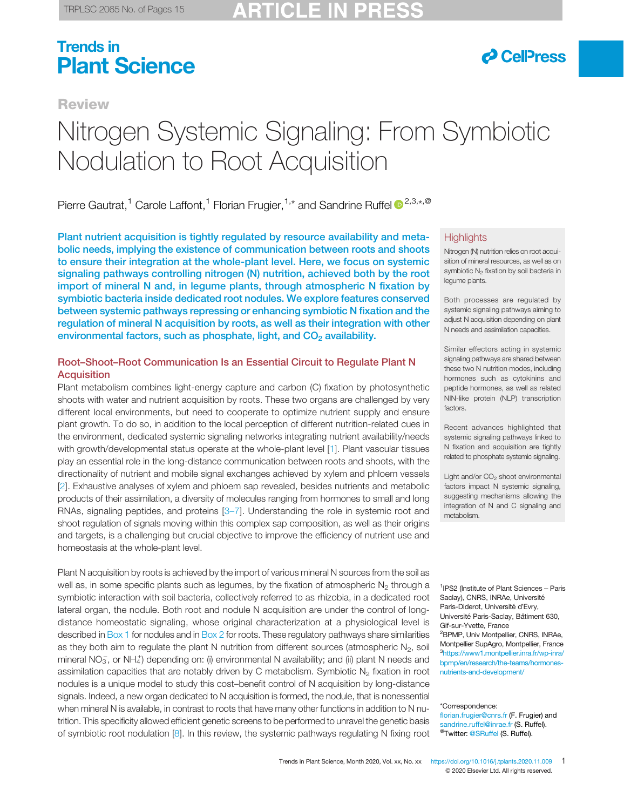# *&* CellPress

**Review** 

# Nitrogen Systemic Signaling: From Symbiotic Nodulation to Root Acquisition

Pierre Gautrat,<sup>1</sup> Carole Laffont,<sup>1</sup> Florian Frugier,<sup>1,\*</sup> and Sandrine Ruffel <sup>12,3,\*,@</sup>

Plant nutrient acquisition is tightly regulated by resource availability and metabolic needs, implying the existence of communication between roots and shoots to ensure their integration at the whole-plant level. Here, we focus on systemic signaling pathways controlling nitrogen (N) nutrition, achieved both by the root import of mineral N and, in legume plants, through atmospheric N fixation by symbiotic bacteria inside dedicated root nodules. We explore features conserved between systemic pathways repressing or enhancing symbiotic N fixation and the regulation of mineral N acquisition by roots, as well as their integration with other environmental factors, such as phosphate, light, and  $CO<sub>2</sub>$  availability.

#### Root–Shoot–Root Communication Is an Essential Circuit to Regulate Plant N **Acquisition**

Plant metabolism combines light-energy capture and carbon (C) fixation by photosynthetic shoots with water and nutrient acquisition by roots. These two organs are challenged by very different local environments, but need to cooperate to optimize nutrient supply and ensure plant growth. To do so, in addition to the local perception of different nutrition-related cues in the environment, dedicated systemic signaling networks integrating nutrient availability/needs with growth/developmental status operate at the whole-plant level [[1\]](#page-10-0). Plant vascular tissues play an essential role in the long-distance communication between roots and shoots, with the directionality of nutrient and mobile signal exchanges achieved by xylem and phloem vessels [[2](#page-10-0)]. Exhaustive analyses of xylem and phloem sap revealed, besides nutrients and metabolic products of their assimilation, a diversity of molecules ranging from hormones to small and long RNAs, signaling peptides, and proteins [3–[7\]](#page-10-0). Understanding the role in systemic root and shoot regulation of signals moving within this complex sap composition, as well as their origins and targets, is a challenging but crucial objective to improve the efficiency of nutrient use and homeostasis at the whole-plant level.

Plant N acquisition by roots is achieved by the import of various mineral N sources from the soil as well as, in some specific plants such as legumes, by the fixation of atmospheric  $N<sub>2</sub>$  through a symbiotic interaction with soil bacteria, collectively referred to as rhizobia, in a dedicated root lateral organ, the nodule. Both root and nodule N acquisition are under the control of longdistance homeostatic signaling, whose original characterization at a physiological level is described in [Box 1](#page-1-0) for nodules and in [Box 2](#page-1-0) for roots. These regulatory pathways share similarities as they both aim to regulate the plant N nutrition from different sources (atmospheric  $N_2$ , soil mineral NO<sub>3</sub>, or NH<sub>4</sub><sup>+</sup>) depending on: (i) environmental N availability; and (ii) plant N needs and assimilation capacities that are notably driven by C metabolism. Symbiotic  $N<sub>2</sub>$  fixation in root nodules is a unique model to study this cost–benefit control of N acquisition by long-distance signals. Indeed, a new organ dedicated to N acquisition is formed, the nodule, that is nonessential when mineral N is available, in contrast to roots that have many other functions in addition to N nutrition. This specificity allowed efficient genetic screens to be performed to unravel the genetic basis of symbiotic root nodulation [[8\]](#page-11-0). In this review, the systemic pathways regulating N fixing root

#### **Highlights**

Nitrogen (N) nutrition relies on root acquisition of mineral resources, as well as on symbiotic  $N_2$  fixation by soil bacteria in legume plants.

Both processes are regulated by systemic signaling pathways aiming to adjust N acquisition depending on plant N needs and assimilation capacities.

Similar effectors acting in systemic signaling pathways are shared between these two N nutrition modes, including hormones such as cytokinins and peptide hormones, as well as related NIN-like protein (NLP) transcription factors.

Recent advances highlighted that systemic signaling pathways linked to N fixation and acquisition are tightly related to phosphate systemic signaling.

Light and/or  $CO<sub>2</sub>$  shoot environmental factors impact N systemic signaling, suggesting mechanisms allowing the integration of N and C signaling and metabolism.

<sup>1</sup>IPS2 (Institute of Plant Sciences - Paris Saclay), CNRS, INRAe, Université Paris-Diderot, Université d'Evry, Université Paris-Saclay, Bâtiment 630, Gif-sur-Yvette, France <sup>2</sup>BPMP, Univ Montpellier, CNRS, INRAe, Montpellier SupAgro, Montpellier, France 3 [https://www1.montpellier.inra.fr/wp-inra/](https://www1.montpellier.inra.fr/wp-inra/bpmp/en/research/the-teams/hormones-nutrients-and-development/) [bpmp/en/research/the-teams/hormones](https://www1.montpellier.inra.fr/wp-inra/bpmp/en/research/the-teams/hormones-nutrients-and-development/)[nutrients-and-development/](https://www1.montpellier.inra.fr/wp-inra/bpmp/en/research/the-teams/hormones-nutrients-and-development/)

\*Correspondence:

florian.frugier@cnrs.fr (F. Frugier) and sandrine.ruffel@inrae.fr (S. Ruffel). <sup>@</sup>Twitter: [@SRuffel](https://twitter.com/SRuffel) (S. Ruffel).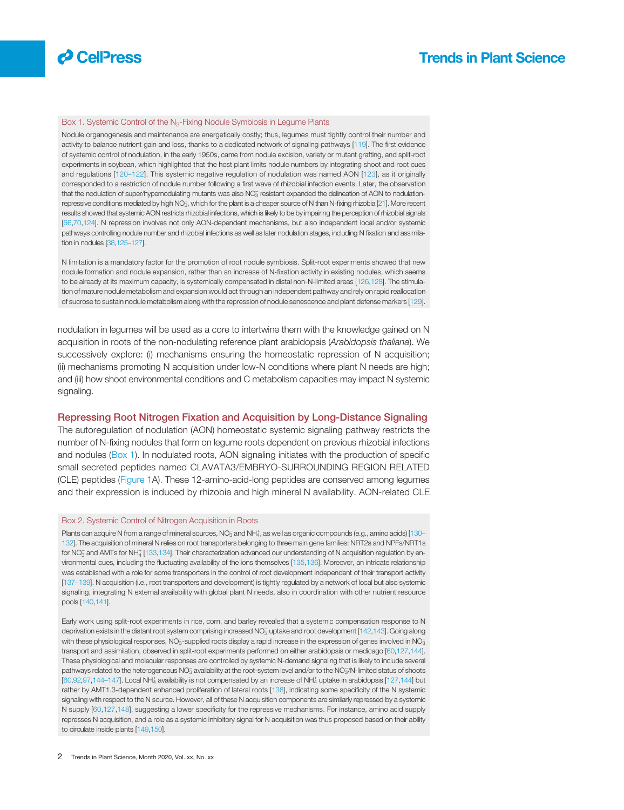<span id="page-1-0"></span>

#### Box 1. Systemic Control of the N<sub>2</sub>-Fixing Nodule Symbiosis in Legume Plants

Nodule organogenesis and maintenance are energetically costly; thus, legumes must tightly control their number and activity to balance nutrient gain and loss, thanks to a dedicated network of signaling pathways [\[119\]](#page-13-0). The first evidence of systemic control of nodulation, in the early 1950s, came from nodule excision, variety or mutant grafting, and split-root experiments in soybean, which highlighted that the host plant limits nodule numbers by integrating shoot and root cues and regulations [[120](#page-13-0)–122]. This systemic negative regulation of nodulation was named AON [\[123](#page-13-0)], as it originally corresponded to a restriction of nodule number following a first wave of rhizobial infection events. Later, the observation that the nodulation of super/hypernodulating mutants was also  $NO_3^-$  resistant expanded the delineation of AON to nodulation-repressive conditions mediated by high NO<sub>3</sub>, which for the plant is a cheaper source of N than N-fixing rhizobia [[21](#page-11-0)]. More recent results showed that systemic AON restricts rhizobial infections, which is likely to be by impairing the perception of rhizobial signals [\[66](#page-12-0),[70,](#page-12-0)[124\]](#page-13-0). N repression involves not only AON-dependent mechanisms, but also independent local and/or systemic pathways controlling nodule number and rhizobial infections as well as later nodulation stages, including N fixation and assimilation in nodules [[38,](#page-11-0)125–[127\]](#page-13-0).

N limitation is a mandatory factor for the promotion of root nodule symbiosis. Split-root experiments showed that new nodule formation and nodule expansion, rather than an increase of N-fixation activity in existing nodules, which seems to be already at its maximum capacity, is systemically compensated in distal non-N-limited areas [\[126,128](#page-13-0)]. The stimulation of mature nodule metabolism and expansion would act through an independent pathway and rely on rapid reallocation of sucrose to sustain nodule metabolism along with the repression of nodule senescence and plant defense markers [\[129\]](#page-13-0).

nodulation in legumes will be used as a core to intertwine them with the knowledge gained on N acquisition in roots of the non-nodulating reference plant arabidopsis (Arabidopsis thaliana). We successively explore: (i) mechanisms ensuring the homeostatic repression of N acquisition; (ii) mechanisms promoting N acquisition under low-N conditions where plant N needs are high; and (iii) how shoot environmental conditions and C metabolism capacities may impact N systemic signaling.

#### Repressing Root Nitrogen Fixation and Acquisition by Long-Distance Signaling

The autoregulation of nodulation (AON) homeostatic systemic signaling pathway restricts the number of N-fixing nodules that form on legume roots dependent on previous rhizobial infections and nodules (Box 1). In nodulated roots, AON signaling initiates with the production of specific small secreted peptides named CLAVATA3/EMBRYO-SURROUNDING REGION RELATED (CLE) peptides [\(Figure 1](#page-2-0)A). These 12-amino-acid-long peptides are conserved among legumes and their expression is induced by rhizobia and high mineral N availability. AON-related CLE

#### Box 2. Systemic Control of Nitrogen Acquisition in Roots

Plants can acquire N from a range of mineral sources, NO<sub>3</sub> and NH<sup>+</sup>4, as well as organic compounds (e.g., amino acids) [[130](#page-13-0)– [132](#page-13-0)]. The acquisition of mineral N relies on root transporters belonging to three main gene families: NRT2s and NPFs/NRT1s for NO<sub>3</sub> and AMTs for NH<sup>+</sup><sub>4</sub> [\[133,134\]](#page-13-0). Their characterization advanced our understanding of N acquisition regulation by environmental cues, including the fluctuating availability of the ions themselves [\[135,136\]](#page-13-0). Moreover, an intricate relationship was established with a role for some transporters in the control of root development independent of their transport activity [\[137](#page-13-0)–139]. N acquisition (i.e., root transporters and development) is tightly regulated by a network of local but also systemic signaling, integrating N external availability with global plant N needs, also in coordination with other nutrient resource pools [\[140,141](#page-13-0)].

Early work using split-root experiments in rice, corn, and barley revealed that a systemic compensation response to N deprivation exists in the distant root system comprising increased NO<sub>3</sub> uptake and root development [[142,143\]](#page-13-0). Going along with these physiological responses, NO<sub>3</sub>-supplied roots display a rapid increase in the expression of genes involved in NO<sub>3</sub> transport and assimilation, observed in split-root experiments performed on either arabidopsis or medicago [\[60,](#page-12-0)[127,144\]](#page-13-0). These physiological and molecular responses are controlled by systemic N-demand signaling that is likely to include several pathways related to the heterogeneous NO $_3^-$  availability at the root-system level and/or to the NO $_3$ /N-limited status of shoots [\[60,92,97,](#page-12-0)144-[147\]](#page-13-0). Local NH<sup>+</sup> availability is not compensated by an increase of NH<sup>+</sup><sub>4</sub> uptake in arabidopsis [[127,144](#page-13-0)] but rather by AMT1.3-dependent enhanced proliferation of lateral roots [[138](#page-13-0)], indicating some specificity of the N systemic signaling with respect to the N source. However, all of these N acquisition components are similarly repressed by a systemic N supply [\[60,](#page-12-0)[127,148](#page-13-0)], suggesting a lower specificity for the repressive mechanisms. For instance, amino acid supply represses N acquisition, and a role as a systemic inhibitory signal for N acquisition was thus proposed based on their ability to circulate inside plants [\[149,150\]](#page-13-0).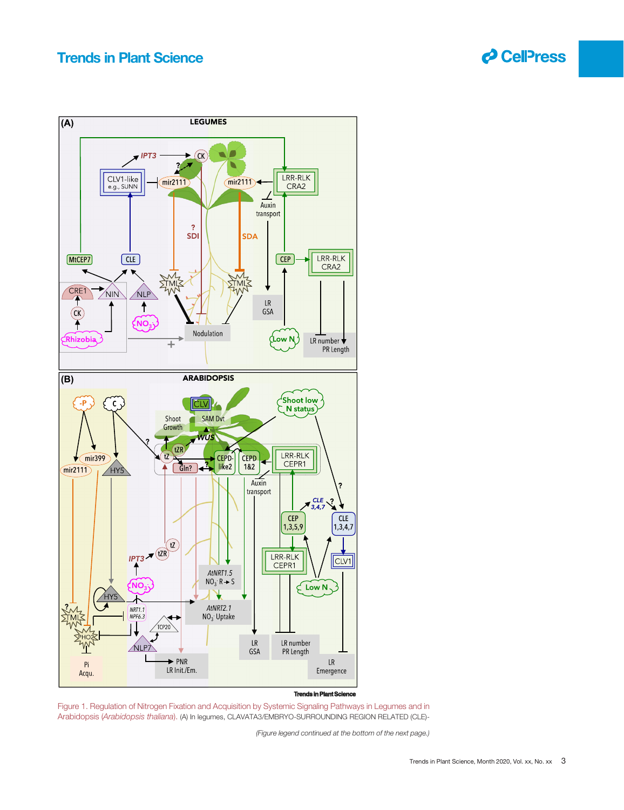

<span id="page-2-0"></span>

#### **Trends in Plant Science**

Figure 1. Regulation of Nitrogen Fixation and Acquisition by Systemic Signaling Pathways in Legumes and in Arabidopsis (Arabidopsis thaliana). (A) In legumes, CLAVATA3/EMBRYO-SURROUNDING REGION RELATED (CLE)-

(Figure legend continued at the bottom of the next page.)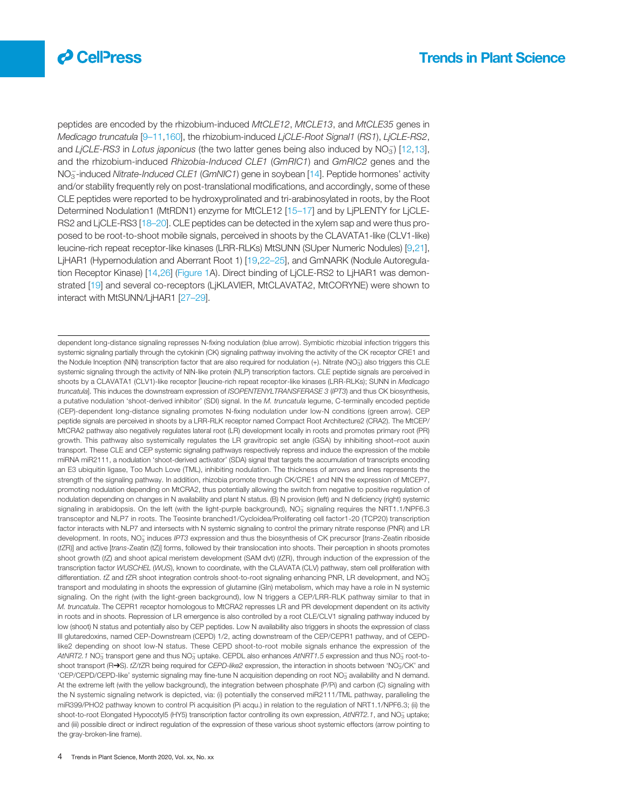

peptides are encoded by the rhizobium-induced MtCLE12, MtCLE13, and MtCLE35 genes in Medicago truncatula [9-[11](#page-11-0),[160\]](#page-14-0), the rhizobium-induced LjCLE-Root Signal1 (RS1), LjCLE-RS2, and LjCLE-RS3 in Lotus japonicus (the two latter genes being also induced by  $NO<sub>3</sub>$ ) [[12](#page-11-0),[13\]](#page-11-0), and the rhizobium-induced Rhizobia-Induced CLE1 (GmRIC1) and GmRIC2 genes and the NO<sub>3</sub>-induced Nitrate-Induced CLE1 (GmNIC1) gene in soybean [\[14](#page-11-0)]. Peptide hormones' activity and/or stability frequently rely on post-translational modifications, and accordingly, some of these CLE peptides were reported to be hydroxyprolinated and tri-arabinosylated in roots, by the Root Determined Nodulation1 (MtRDN1) enzyme for MtCLE12 [15–[17](#page-11-0)] and by LjPLENTY for LjCLE-RS2 and LjCLE-RS3 [18–[20\]](#page-11-0). CLE peptides can be detected in the xylem sap and were thus proposed to be root-to-shoot mobile signals, perceived in shoots by the CLAVATA1-like (CLV1-like) leucine-rich repeat receptor-like kinases (LRR-RLKs) MtSUNN (SUper Numeric Nodules) [[9,21\]](#page-11-0), LjHAR1 (Hypernodulation and Aberrant Root 1) [[19,22](#page-11-0)–25], and GmNARK (Nodule Autoregulation Receptor Kinase) [[14,26\]](#page-11-0) ([Figure 1A](#page-2-0)). Direct binding of LjCLE-RS2 to LjHAR1 was demon-strated [\[19](#page-11-0)] and several co-receptors (LjKLAVIER, MtCLAVATA2, MtCORYNE) were shown to interact with MtSUNN/LjHAR1 [27–[29\]](#page-11-0).

dependent long-distance signaling represses N-fixing nodulation (blue arrow). Symbiotic rhizobial infection triggers this systemic signaling partially through the cytokinin (CK) signaling pathway involving the activity of the CK receptor CRE1 and the Nodule Inception (NIN) transcription factor that are also required for nodulation (+). Nitrate (NO<sub>3</sub>) also triggers this CLE systemic signaling through the activity of NIN-like protein (NLP) transcription factors. CLE peptide signals are perceived in shoots by a CLAVATA1 (CLV1)-like receptor [leucine-rich repeat receptor-like kinases (LRR-RLKs); SUNN in Medicago truncatula]. This induces the downstream expression of ISOPENTENYLTRANSFERASE 3 (IPT3) and thus CK biosynthesis, a putative nodulation 'shoot-derived inhibitor' (SDI) signal. In the M. truncatula legume, C-terminally encoded peptide (CEP)-dependent long-distance signaling promotes N-fixing nodulation under low-N conditions (green arrow). CEP peptide signals are perceived in shoots by a LRR-RLK receptor named Compact Root Architecture2 (CRA2). The MtCEP/ MtCRA2 pathway also negatively regulates lateral root (LR) development locally in roots and promotes primary root (PR) growth. This pathway also systemically regulates the LR gravitropic set angle (GSA) by inhibiting shoot–root auxin transport. These CLE and CEP systemic signaling pathways respectively repress and induce the expression of the mobile miRNA miR2111, a nodulation 'shoot-derived activator' (SDA) signal that targets the accumulation of transcripts encoding an E3 ubiquitin ligase, Too Much Love (TML), inhibiting nodulation. The thickness of arrows and lines represents the strength of the signaling pathway. In addition, rhizobia promote through CK/CRE1 and NIN the expression of MtCEP7, promoting nodulation depending on MtCRA2, thus potentially allowing the switch from negative to positive regulation of nodulation depending on changes in N availability and plant N status. (B) N provision (left) and N deficiency (right) systemic signaling in arabidopsis. On the left (with the light-purple background),  $NO<sub>3</sub>$  signaling requires the NRT1.1/NPF6.3 transceptor and NLP7 in roots. The Teosinte branched1/Cycloidea/Proliferating cell factor1-20 (TCP20) transcription factor interacts with NLP7 and intersects with N systemic signaling to control the primary nitrate response (PNR) and LR development. In roots, NO<sub>3</sub> induces IPT3 expression and thus the biosynthesis of CK precursor [trans-Zeatin riboside (tZR)] and active [trans-Zeatin (tZ)] forms, followed by their translocation into shoots. Their perception in shoots promotes shoot growth (tZ) and shoot apical meristem development (SAM dvt) (tZR), through induction of the expression of the transcription factor WUSCHEL (WUS), known to coordinate, with the CLAVATA (CLV) pathway, stem cell proliferation with differentiation. tZ and tZR shoot integration controls shoot-to-root signaling enhancing PNR, LR development, and NO3 transport and modulating in shoots the expression of glutamine (Gln) metabolism, which may have a role in N systemic signaling. On the right (with the light-green background), low N triggers a CEP/LRR-RLK pathway similar to that in M. truncatula. The CEPR1 receptor homologous to MtCRA2 represses LR and PR development dependent on its activity in roots and in shoots. Repression of LR emergence is also controlled by a root CLE/CLV1 signaling pathway induced by low (shoot) N status and potentially also by CEP peptides. Low N availability also triggers in shoots the expression of class III glutaredoxins, named CEP-Downstream (CEPD) 1/2, acting downstream of the CEP/CEPR1 pathway, and of CEPDlike2 depending on shoot low-N status. These CEPD shoot-to-root mobile signals enhance the expression of the AtNRT2.1 NO<sub>3</sub> transport gene and thus NO<sub>3</sub> uptake. CEPDL also enhances AtNRT1.5 expression and thus NO<sub>3</sub> root-toshoot transport (R→S). tZ/tZR being required for CEPD-like2 expression, the interaction in shoots between 'NO3/CK' and 'CEP/CEPD/CEPD-like' systemic signaling may fine-tune N acquisition depending on root NO<sub>3</sub> availability and N demand. At the extreme left (with the yellow background), the integration between phosphate (P/Pi) and carbon (C) signaling with the N systemic signaling network is depicted, via: (i) potentially the conserved miR2111/TML pathway, paralleling the miR399/PHO2 pathway known to control Pi acquisition (Pi acqu.) in relation to the regulation of NRT1.1/NPF6.3; (ii) the shoot-to-root Elongated Hypocotyl5 (HY5) transcription factor controlling its own expression, AtNRT2.1, and NO<sub>3</sub> uptake; and (iii) possible direct or indirect regulation of the expression of these various shoot systemic effectors (arrow pointing to the gray-broken-line frame).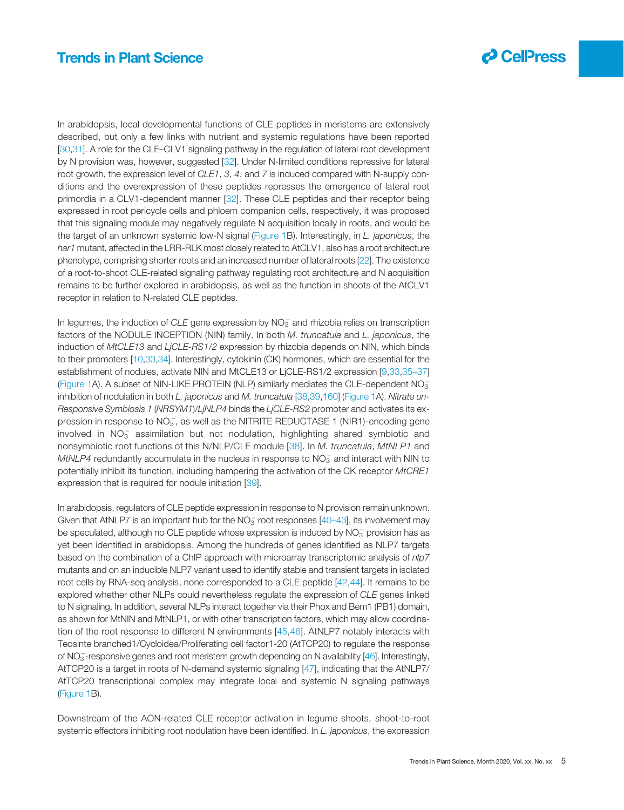

In arabidopsis, local developmental functions of CLE peptides in meristems are extensively described, but only a few links with nutrient and systemic regulations have been reported [[30,31](#page-11-0)]. A role for the CLE–CLV1 signaling pathway in the regulation of lateral root development by N provision was, however, suggested [[32\]](#page-11-0). Under N-limited conditions repressive for lateral root growth, the expression level of CLE1, 3, 4, and 7 is induced compared with N-supply conditions and the overexpression of these peptides represses the emergence of lateral root primordia in a CLV1-dependent manner [[32\]](#page-11-0). These CLE peptides and their receptor being expressed in root pericycle cells and phloem companion cells, respectively, it was proposed that this signaling module may negatively regulate N acquisition locally in roots, and would be the target of an unknown systemic low-N signal ([Figure 1](#page-2-0)B). Interestingly, in L. japonicus, the har1 mutant, affected in the LRR-RLK most closely related to AtCLV1, also has a root architecture phenotype, comprising shorter roots and an increased number of lateral roots [\[22](#page-11-0)]. The existence of a root-to-shoot CLE-related signaling pathway regulating root architecture and N acquisition remains to be further explored in arabidopsis, as well as the function in shoots of the AtCLV1 receptor in relation to N-related CLE peptides.

In legumes, the induction of CLE gene expression by  $NO_3^-$  and rhizobia relies on transcription factors of the NODULE INCEPTION (NIN) family. In both M. truncatula and L. japonicus, the induction of MtCLE13 and LjCLE-RS1/2 expression by rhizobia depends on NIN, which binds to their promoters [\[10](#page-11-0),[33](#page-11-0),[34\]](#page-11-0). Interestingly, cytokinin (CK) hormones, which are essential for the establishment of nodules, activate NIN and MtCLE13 or LjCLE-RS1/2 expression [\[9](#page-11-0),[33,35](#page-11-0)–37] ([Figure 1](#page-2-0)A). A subset of NIN-LIKE PROTEIN (NLP) similarly mediates the CLE-dependent  $NO_3^-$ inhibition of nodulation in both L. japonicus and M. truncatula [\[38](#page-11-0),[39,](#page-11-0)[160\]](#page-14-0) [\(Figure 1](#page-2-0)A). Nitrate un-Responsive Symbiosis 1 (NRSYM1)/LiNLP4 binds the LjCLE-RS2 promoter and activates its expression in response to  $NO_3^-$ , as well as the NITRITE REDUCTASE 1 (NIR1)-encoding gene involved in  $NO_3^-$  assimilation but not nodulation, highlighting shared symbiotic and nonsymbiotic root functions of this N/NLP/CLE module [[38](#page-11-0)]. In M. truncatula, MtNLP1 and MtNLP4 redundantly accumulate in the nucleus in response to  $\mathsf{NO_3^-}$  and interact with NIN to potentially inhibit its function, including hampering the activation of the CK receptor MtCRE1 expression that is required for nodule initiation [\[39](#page-11-0)].

In arabidopsis, regulators of CLE peptide expression in response to N provision remain unknown. Given that AtNLP7 is an important hub for the  $NO<sub>3</sub><sup>-</sup>$  root responses [40–[43\]](#page-11-0), its involvement may be speculated, although no CLE peptide whose expression is induced by  $\mathsf{NO}_3^-$  provision has as yet been identified in arabidopsis. Among the hundreds of genes identified as NLP7 targets based on the combination of a ChIP approach with microarray transcriptomic analysis of nlp7 mutants and on an inducible NLP7 variant used to identify stable and transient targets in isolated root cells by RNA-seq analysis, none corresponded to a CLE peptide [\[42](#page-11-0),[44](#page-11-0)]. It remains to be explored whether other NLPs could nevertheless regulate the expression of CLE genes linked to N signaling. In addition, several NLPs interact together via their Phox and Bem1 (PB1) domain, as shown for MtNIN and MtNLP1, or with other transcription factors, which may allow coordination of the root response to different N environments [[45](#page-11-0),[46\]](#page-11-0). AtNLP7 notably interacts with Teosinte branched1/Cycloidea/Proliferating cell factor1-20 (AtTCP20) to regulate the response of NO<sub>3</sub>-responsive genes and root meristem growth depending on N availability [[46\]](#page-11-0). Interestingly, AtTCP20 is a target in roots of N-demand systemic signaling [\[47](#page-11-0)], indicating that the AtNLP7/ AtTCP20 transcriptional complex may integrate local and systemic N signaling pathways ([Figure 1](#page-2-0)B).

Downstream of the AON-related CLE receptor activation in legume shoots, shoot-to-root systemic effectors inhibiting root nodulation have been identified. In L. japonicus, the expression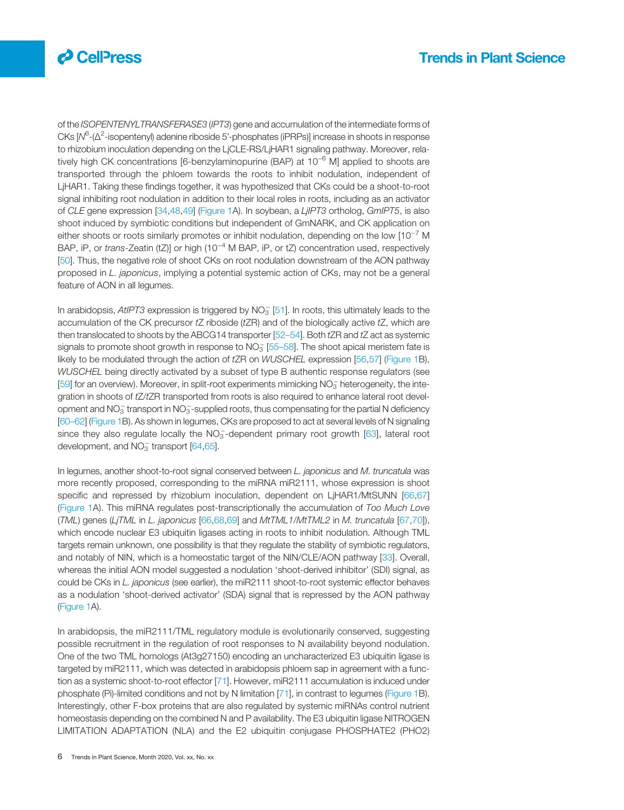

of the ISOPENTENYLTRANSFERASE3 (IPT3) gene and accumulation of the intermediate forms of CKs [N<sup>6</sup>-(Δ<sup>2</sup>-isopentenyl) adenine riboside 5'-phosphates (iPRPs)] increase in shoots in response to rhizobium inoculation depending on the LjCLE-RS/LjHAR1 signaling pathway. Moreover, relatively high CK concentrations [6-benzylaminopurine (BAP) at 10<sup>-6</sup> M] applied to shoots are transported through the phloem towards the roots to inhibit nodulation, independent of LjHAR1. Taking these findings together, it was hypothesized that CKs could be a shoot-to-root signal inhibiting root nodulation in addition to their local roles in roots, including as an activator of CLE gene expression [[34,48](#page-11-0),[49\]](#page-11-0) ([Figure 1A](#page-2-0)). In soybean, a LjIPT3 ortholog, GmIPT5, is also shoot induced by symbiotic conditions but independent of GmNARK, and CK application on either shoots or roots similarly promotes or inhibit nodulation, depending on the low [10−<sup>7</sup> M BAP, iP, or trans-Zeatin (tZ)] or high (10<sup>-4</sup> M BAP, iP, or tZ) concentration used, respectively [[50\]](#page-11-0). Thus, the negative role of shoot CKs on root nodulation downstream of the AON pathway proposed in L. japonicus, implying a potential systemic action of CKs, may not be a general feature of AON in all legumes.

In arabidopsis, AtlPT3 expression is triggered by  $NO_3^-$  [[51\]](#page-11-0). In roots, this ultimately leads to the accumulation of the CK precursor  $tZ$  riboside  $(tZR)$  and of the biologically active  $tZ$ , which are then translocated to shoots by the ABCG14 transporter  $[52-54]$  $[52-54]$ . Both  $tZR$  and  $tZ$  act as systemic signals to promote shoot growth in response to  $NO_3^-$  [[55](#page-11-0)–58]. The shoot apical meristem fate is likely to be modulated through the action of tZR on WUSCHEL expression [\[56](#page-12-0),[57\]](#page-12-0) ([Figure 1B](#page-2-0)), WUSCHEL being directly activated by a subset of type B authentic response regulators (see [[59\]](#page-12-0) for an overview). Moreover, in split-root experiments mimicking NO<sub>3</sub> heterogeneity, the integration in shoots of tZ/tZR transported from roots is also required to enhance lateral root development and  $NO_3^-$  transport in  $NO_3^-$ -supplied roots, thus compensating for the partial N deficiency [[60](#page-12-0)–62] [\(Figure 1](#page-2-0)B). As shown in legumes, CKs are proposed to act at several levels of N signaling since they also regulate locally the NO<sub>3</sub>-dependent primary root growth [[63](#page-12-0)], lateral root development, and  $NO<sub>3</sub><sup>-</sup>$  transport  $[64, 65]$ .

In legumes, another shoot-to-root signal conserved between L. japonicus and M. truncatula was more recently proposed, corresponding to the miRNA miR2111, whose expression is shoot specific and repressed by rhizobium inoculation, dependent on LjHAR1/MtSUNN [[66,67](#page-12-0)] ([Figure 1A](#page-2-0)). This miRNA regulates post-transcriptionally the accumulation of Too Much Love (TML) genes (LjTML in L. japonicus [[66,68,69](#page-12-0)] and MtTML1/MtTML2 in M. truncatula [\[67](#page-12-0),[70\]](#page-12-0)), which encode nuclear E3 ubiquitin ligases acting in roots to inhibit nodulation. Although TML targets remain unknown, one possibility is that they regulate the stability of symbiotic regulators, and notably of NIN, which is a homeostatic target of the NIN/CLE/AON pathway [[33\]](#page-11-0). Overall, whereas the initial AON model suggested a nodulation 'shoot-derived inhibitor' (SDI) signal, as could be CKs in L. japonicus (see earlier), the miR2111 shoot-to-root systemic effector behaves as a nodulation 'shoot-derived activator' (SDA) signal that is repressed by the AON pathway ([Figure 1](#page-2-0)A).

In arabidopsis, the miR2111/TML regulatory module is evolutionarily conserved, suggesting possible recruitment in the regulation of root responses to N availability beyond nodulation. One of the two TML homologs (At3g27150) encoding an uncharacterized E3 ubiquitin ligase is targeted by miR2111, which was detected in arabidopsis phloem sap in agreement with a function as a systemic shoot-to-root effector [[71](#page-12-0)]. However, miR2111 accumulation is induced under phosphate (Pi)-limited conditions and not by N limitation [[71\]](#page-12-0), in contrast to legumes [\(Figure 1B](#page-2-0)). Interestingly, other F-box proteins that are also regulated by systemic miRNAs control nutrient homeostasis depending on the combined N and P availability. The E3 ubiquitin ligase NITROGEN LIMITATION ADAPTATION (NLA) and the E2 ubiquitin conjugase PHOSPHATE2 (PHO2)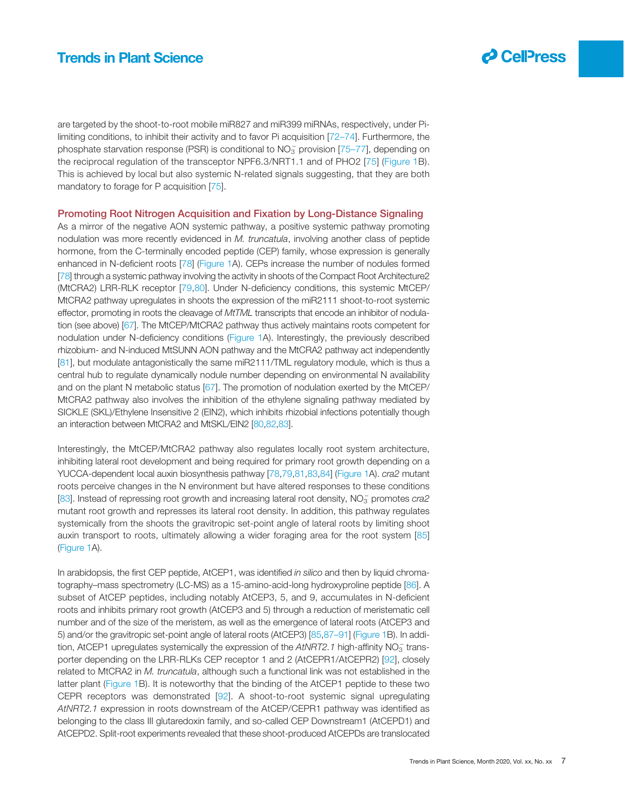

are targeted by the shoot-to-root mobile miR827 and miR399 miRNAs, respectively, under Pilimiting conditions, to inhibit their activity and to favor Pi acquisition [72–[74](#page-12-0)]. Furthermore, the phosphate starvation response (PSR) is conditional to  $NO_3^-$  provision [75–[77](#page-12-0)], depending on the reciprocal regulation of the transceptor NPF6.3/NRT1.1 and of PHO2 [[75](#page-12-0)] ([Figure 1](#page-2-0)B). This is achieved by local but also systemic N-related signals suggesting, that they are both mandatory to forage for P acquisition [[75](#page-12-0)].

#### Promoting Root Nitrogen Acquisition and Fixation by Long-Distance Signaling

As a mirror of the negative AON systemic pathway, a positive systemic pathway promoting nodulation was more recently evidenced in M. truncatula, involving another class of peptide hormone, from the C-terminally encoded peptide (CEP) family, whose expression is generally enhanced in N-deficient roots [[78\]](#page-12-0) ([Figure 1A](#page-2-0)). CEPs increase the number of nodules formed [[78\]](#page-12-0) through a systemic pathway involving the activity in shoots of the Compact Root Architecture2 (MtCRA2) LRR-RLK receptor [[79,80](#page-12-0)]. Under N-deficiency conditions, this systemic MtCEP/ MtCRA2 pathway upregulates in shoots the expression of the miR2111 shoot-to-root systemic effector, promoting in roots the cleavage of MtTML transcripts that encode an inhibitor of nodulation (see above) [[67\]](#page-12-0). The MtCEP/MtCRA2 pathway thus actively maintains roots competent for nodulation under N-deficiency conditions ([Figure 1](#page-2-0)A). Interestingly, the previously described rhizobium- and N-induced MtSUNN AON pathway and the MtCRA2 pathway act independently [[81\]](#page-12-0), but modulate antagonistically the same miR2111/TML regulatory module, which is thus a central hub to regulate dynamically nodule number depending on environmental N availability and on the plant N metabolic status [\[67](#page-12-0)]. The promotion of nodulation exerted by the MtCEP/ MtCRA2 pathway also involves the inhibition of the ethylene signaling pathway mediated by SICKLE (SKL)/Ethylene Insensitive 2 (EIN2), which inhibits rhizobial infections potentially though an interaction between MtCRA2 and MtSKL/EIN2 [\[80,82,83](#page-12-0)].

Interestingly, the MtCEP/MtCRA2 pathway also regulates locally root system architecture, inhibiting lateral root development and being required for primary root growth depending on a YUCCA-dependent local auxin biosynthesis pathway [\[78](#page-12-0),[79,81,83](#page-12-0),[84](#page-12-0)] [\(Figure 1A](#page-2-0)). cra2 mutant roots perceive changes in the N environment but have altered responses to these conditions [[83\]](#page-12-0). Instead of repressing root growth and increasing lateral root density, NO<sub>3</sub> promotes cra2 mutant root growth and represses its lateral root density. In addition, this pathway regulates systemically from the shoots the gravitropic set-point angle of lateral roots by limiting shoot auxin transport to roots, ultimately allowing a wider foraging area for the root system [[85](#page-12-0)] ([Figure 1A](#page-2-0)).

In arabidopsis, the first CEP peptide, AtCEP1, was identified in silico and then by liquid chromatography–mass spectrometry (LC-MS) as a 15-amino-acid-long hydroxyproline peptide [[86\]](#page-12-0). A subset of AtCEP peptides, including notably AtCEP3, 5, and 9, accumulates in N-deficient roots and inhibits primary root growth (AtCEP3 and 5) through a reduction of meristematic cell number and of the size of the meristem, as well as the emergence of lateral roots (AtCEP3 and 5) and/or the gravitropic set-point angle of lateral roots (AtCEP3) [[85,87](#page-12-0)–91] ([Figure 1](#page-2-0)B). In addition, AtCEP1 upregulates systemically the expression of the  $AtNRT2.1$  high-affinity  $NO_3^-$  transporter depending on the LRR-RLKs CEP receptor 1 and 2 (AtCEPR1/AtCEPR2) [[92\]](#page-12-0), closely related to MtCRA2 in  $M$ . truncatula, although such a functional link was not established in the latter plant [\(Figure 1](#page-2-0)B). It is noteworthy that the binding of the AtCEP1 peptide to these two CEPR receptors was demonstrated [[92\]](#page-12-0). A shoot-to-root systemic signal upregulating AtNRT2.1 expression in roots downstream of the AtCEP/CEPR1 pathway was identified as belonging to the class III glutaredoxin family, and so-called CEP Downstream1 (AtCEPD1) and AtCEPD2. Split-root experiments revealed that these shoot-produced AtCEPDs are translocated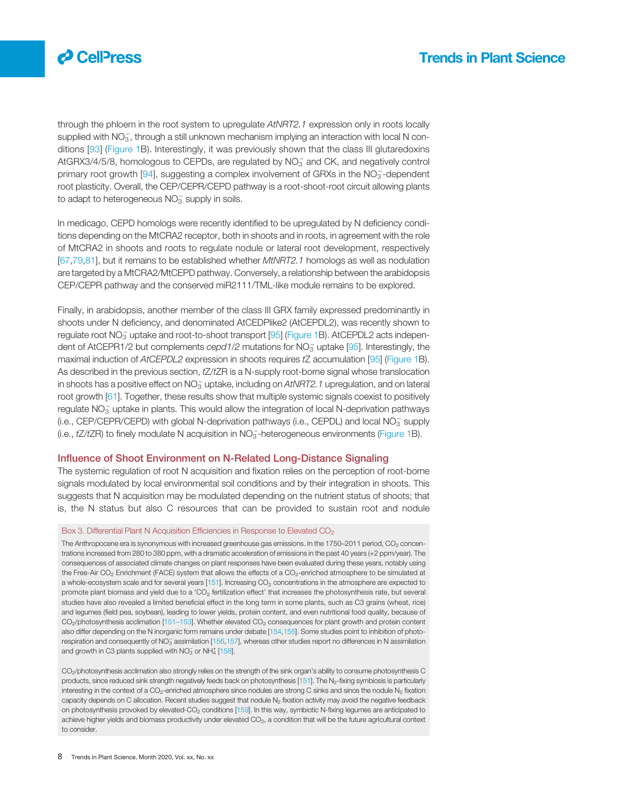<span id="page-7-0"></span>

through the phloem in the root system to upregulate AtNRT2.1 expression only in roots locally supplied with  $NO_3^-$ , through a still unknown mechanism implying an interaction with local N conditions [[93\]](#page-12-0) ([Figure 1](#page-2-0)B). Interestingly, it was previously shown that the class III glutaredoxins AtGRX3/4/5/8, homologous to CEPDs, are regulated by  $NO_3^-$  and CK, and negatively control primary root growth [[94](#page-12-0)], suggesting a complex involvement of GRXs in the  $NO_3^-$ -dependent root plasticity. Overall, the CEP/CEPR/CEPD pathway is a root-shoot-root circuit allowing plants to adapt to heterogeneous  $NO_3^-$  supply in soils.

In medicago, CEPD homologs were recently identified to be upregulated by N deficiency conditions depending on the MtCRA2 receptor, both in shoots and in roots, in agreement with the role of MtCRA2 in shoots and roots to regulate nodule or lateral root development, respectively [[67,79](#page-12-0),[81](#page-12-0)], but it remains to be established whether MtNRT2.1 homologs as well as nodulation are targeted by a MtCRA2/MtCEPD pathway. Conversely, a relationship between the arabidopsis CEP/CEPR pathway and the conserved miR2111/TML-like module remains to be explored.

Finally, in arabidopsis, another member of the class III GRX family expressed predominantly in shoots under N deficiency, and denominated AtCEDPlike2 (AtCEPDL2), was recently shown to regulate root  $NO_3^-$  uptake and root-to-shoot transport [\[95](#page-12-0)] ([Figure 1](#page-2-0)B). AtCEPDL2 acts independent of AtCEPR1/2 but complements  $cepd1/2$  mutations for  $NO<sub>3</sub>$  uptake [\[95\]](#page-12-0). Interestingly, the maximal induction of AtCEPDL2 expression in shoots requires tZ accumulation [[95\]](#page-12-0) [\(Figure 1B](#page-2-0)). As described in the previous section, tZ/tZR is a N-supply root-borne signal whose translocation in shoots has a positive effect on NO $_3^-$  uptake, including on AtNRT2.1 upregulation, and on lateral root growth [[61\]](#page-12-0). Together, these results show that multiple systemic signals coexist to positively regulate  $\overline{\text{NO}_3^-}$  uptake in plants. This would allow the integration of local N-deprivation pathways (i.e., CEP/CEPR/CEPD) with global N-deprivation pathways (i.e., CEPDL) and local NO<sub>3</sub> supply (i.e., tZ/tZR) to finely modulate N acquisition in NO<sub>3</sub>-heterogeneous environments [\(Figure 1B](#page-2-0)).

#### Influence of Shoot Environment on N-Related Long-Distance Signaling

The systemic regulation of root N acquisition and fixation relies on the perception of root-borne signals modulated by local environmental soil conditions and by their integration in shoots. This suggests that N acquisition may be modulated depending on the nutrient status of shoots; that is, the N status but also C resources that can be provided to sustain root and nodule

#### Box 3. Differential Plant N Acquisition Efficiencies in Response to Elevated CO<sub>2</sub>

The Anthropocene era is synonymous with increased greenhouse gas emissions. In the 1750–2011 period, CO<sub>2</sub> concentrations increased from 280 to 380 ppm, with a dramatic acceleration of emissions in the past 40 years (+2 ppm/year). The consequences of associated climate changes on plant responses have been evaluated during these years, notably using the Free-Air CO<sub>2</sub> Enrichment (FACE) system that allows the effects of a CO<sub>2</sub>-enriched atmosphere to be simulated at a whole-ecosystem scale and for several years  $[151]$  $[151]$  $[151]$ . Increasing  $CO<sub>2</sub>$  concentrations in the atmosphere are expected to promote plant biomass and yield due to a 'CO2 fertilization effect' that increases the photosynthesis rate, but several studies have also revealed a limited beneficial effect in the long term in some plants, such as C3 grains (wheat, rice) and legumes (field pea, soybean), leading to lower yields, protein content, and even nutritional food quality, because of CO<sub>2</sub>/photosynthesis acclimation [151–[153](#page-13-0)]. Whether elevated CO<sub>2</sub> consequences for plant growth and protein content also differ depending on the N inorganic form remains under debate [[154,155\]](#page-14-0). Some studies point to inhibition of photo-respiration and consequently of NO<sub>3</sub> assimilation [\[156,157](#page-14-0)], whereas other studies report no differences in N assimilation and growth in C3 plants supplied with  $NO_3^-$  or  $NH_4^+$  [\[158\]](#page-14-0).

CO2/photosynthesis acclimation also strongly relies on the strength of the sink organ's ability to consume photosynthesis C products, since reduced sink strength negatively feeds back on photosynthesis [\[151](#page-13-0)]. The N<sub>2</sub>-fixing symbiosis is particularly interesting in the context of a CO<sub>2</sub>-enriched atmosphere since nodules are strong C sinks and since the nodule N<sub>2</sub> fixation capacity depends on C allocation. Recent studies suggest that nodule  $N_2$  fixation activity may avoid the negative feedback on photosynthesis provoked by elevated-CO<sub>2</sub> conditions [\[159](#page-14-0)]. In this way, symbiotic N-fixing legumes are anticipated to achieve higher yields and biomass productivity under elevated CO<sub>2</sub>, a condition that will be the future agricultural context to consider.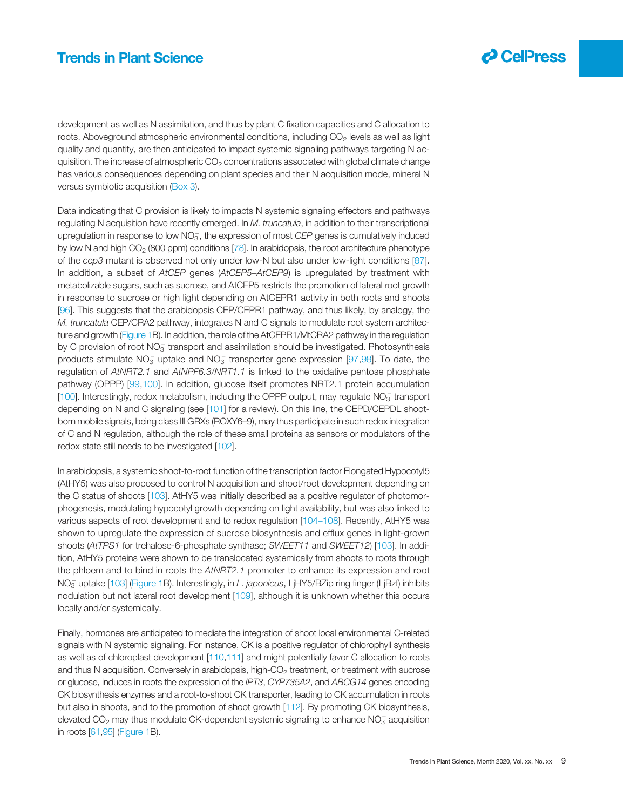

development as well as N assimilation, and thus by plant C fixation capacities and C allocation to roots. Aboveground atmospheric environmental conditions, including  $CO<sub>2</sub>$  levels as well as light quality and quantity, are then anticipated to impact systemic signaling pathways targeting N acquisition. The increase of atmospheric  $CO<sub>2</sub>$  concentrations associated with global climate change has various consequences depending on plant species and their N acquisition mode, mineral N versus symbiotic acquisition [\(Box 3\)](#page-7-0).

Data indicating that C provision is likely to impacts N systemic signaling effectors and pathways regulating N acquisition have recently emerged. In M. truncatula, in addition to their transcriptional upregulation in response to low  $NO_3^-$ , the expression of most  $CEP$  genes is cumulatively induced by low N and high  $CO<sub>2</sub>$  (800 ppm) conditions [\[78\]](#page-12-0). In arabidopsis, the root architecture phenotype of the cep3 mutant is observed not only under low-N but also under low-light conditions [[87\]](#page-12-0). In addition, a subset of AtCEP genes (AtCEP5-AtCEP9) is upregulated by treatment with metabolizable sugars, such as sucrose, and AtCEP5 restricts the promotion of lateral root growth in response to sucrose or high light depending on AtCEPR1 activity in both roots and shoots [[96\]](#page-12-0). This suggests that the arabidopsis CEP/CEPR1 pathway, and thus likely, by analogy, the M. truncatula CEP/CRA2 pathway, integrates N and C signals to modulate root system architecture and growth ([Figure 1](#page-2-0)B). In addition, the role of the AtCEPR1/MtCRA2 pathway in the regulation by C provision of root  $NO_3^-$  transport and assimilation should be investigated. Photosynthesis products stimulate NO<sub>3</sub> uptake and NO<sub>3</sub> transporter gene expression [[97,98](#page-12-0)]. To date, the regulation of AtNRT2.1 and AtNPF6.3/NRT1.1 is linked to the oxidative pentose phosphate pathway (OPPP) [\[99](#page-12-0),[100\]](#page-12-0). In addition, glucose itself promotes NRT2.1 protein accumulation [[100\]](#page-12-0). Interestingly, redox metabolism, including the OPPP output, may regulate NO<sub>3</sub> transport depending on N and C signaling (see [[101\]](#page-12-0) for a review). On this line, the CEPD/CEPDL shootborn mobile signals, being class III GRXs (ROXY6–9), may thus participate in such redox integration of C and N regulation, although the role of these small proteins as sensors or modulators of the redox state still needs to be investigated [[102](#page-12-0)].

In arabidopsis, a systemic shoot-to-root function of the transcription factor Elongated Hypocotyl5 (AtHY5) was also proposed to control N acquisition and shoot/root development depending on the C status of shoots [[103\]](#page-13-0). AtHY5 was initially described as a positive regulator of photomorphogenesis, modulating hypocotyl growth depending on light availability, but was also linked to various aspects of root development and to redox regulation [104–[108](#page-13-0)]. Recently, AtHY5 was shown to upregulate the expression of sucrose biosynthesis and efflux genes in light-grown shoots (AtTPS1 for trehalose-6-phosphate synthase; SWEET11 and SWEET12) [\[103](#page-13-0)]. In addition, AtHY5 proteins were shown to be translocated systemically from shoots to roots through the phloem and to bind in roots the AtNRT2.1 promoter to enhance its expression and root NO<sub>3</sub> uptake [\[103\]](#page-13-0) [\(Figure 1B](#page-2-0)). Interestingly, in *L. japonicus*, LjHY5/BZip ring finger (LjBzf) inhibits nodulation but not lateral root development [\[109](#page-13-0)], although it is unknown whether this occurs locally and/or systemically.

Finally, hormones are anticipated to mediate the integration of shoot local environmental C-related signals with N systemic signaling. For instance, CK is a positive regulator of chlorophyll synthesis as well as of chloroplast development [[110,111\]](#page-13-0) and might potentially favor C allocation to roots and thus N acquisition. Conversely in arabidopsis, high-CO<sub>2</sub> treatment, or treatment with sucrose or glucose, induces in roots the expression of the IPT3, CYP735A2, and ABCG14 genes encoding CK biosynthesis enzymes and a root-to-shoot CK transporter, leading to CK accumulation in roots but also in shoots, and to the promotion of shoot growth [[112\]](#page-13-0). By promoting CK biosynthesis, elevated CO<sub>2</sub> may thus modulate CK-dependent systemic signaling to enhance  $NO_3^-$  acquisition in roots [[61,95](#page-12-0)] [\(Figure 1](#page-2-0)B).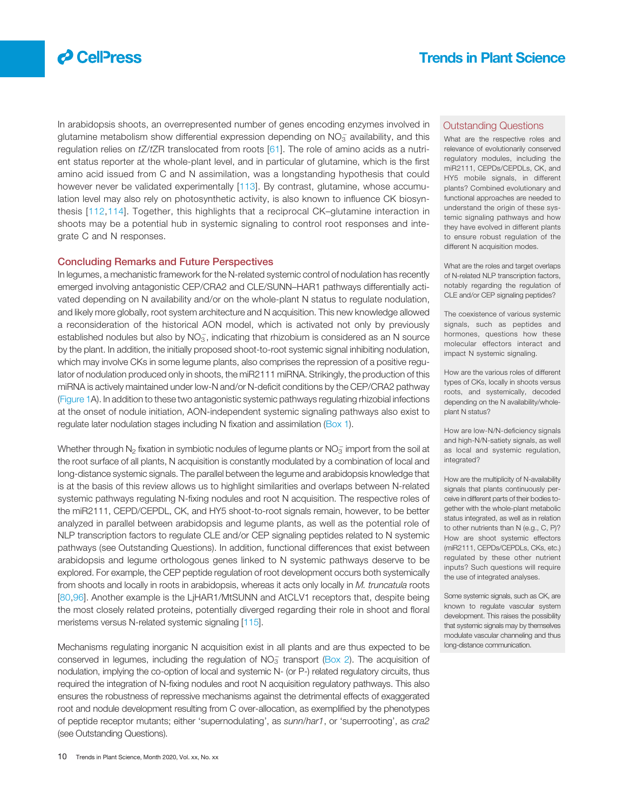

In arabidopsis shoots, an overrepresented number of genes encoding enzymes involved in glutamine metabolism show differential expression depending on  $NO_3^-$  availability, and this regulation relies on  $tZ/tZR$  translocated from roots  $[61]$  $[61]$ . The role of amino acids as a nutrient status reporter at the whole-plant level, and in particular of glutamine, which is the first amino acid issued from C and N assimilation, was a longstanding hypothesis that could however never be validated experimentally [[113\]](#page-13-0). By contrast, glutamine, whose accumulation level may also rely on photosynthetic activity, is also known to influence CK biosynthesis [[112](#page-13-0),[114\]](#page-13-0). Together, this highlights that a reciprocal CK–glutamine interaction in shoots may be a potential hub in systemic signaling to control root responses and integrate C and N responses.

#### Concluding Remarks and Future Perspectives

In legumes, a mechanistic framework for the N-related systemic control of nodulation has recently emerged involving antagonistic CEP/CRA2 and CLE/SUNN–HAR1 pathways differentially activated depending on N availability and/or on the whole-plant N status to regulate nodulation, and likely more globally, root system architecture and N acquisition. This new knowledge allowed a reconsideration of the historical AON model, which is activated not only by previously established nodules but also by  $NO_3^-$ , indicating that rhizobium is considered as an N source by the plant. In addition, the initially proposed shoot-to-root systemic signal inhibiting nodulation, which may involve CKs in some legume plants, also comprises the repression of a positive regulator of nodulation produced only in shoots, the miR2111 miRNA. Strikingly, the production of this miRNA is actively maintained under low-N and/or N-deficit conditions by the CEP/CRA2 pathway ([Figure 1A](#page-2-0)). In addition to these two antagonistic systemic pathways regulating rhizobial infections at the onset of nodule initiation, AON-independent systemic signaling pathways also exist to regulate later nodulation stages including N fixation and assimilation [\(Box 1\)](#page-1-0).

Whether through  $\mathsf{N}_2$  fixation in symbiotic nodules of legume plants or  $\mathsf{NO}_3^-$  import from the soil at the root surface of all plants, N acquisition is constantly modulated by a combination of local and long-distance systemic signals. The parallel between the legume and arabidopsis knowledge that is at the basis of this review allows us to highlight similarities and overlaps between N-related systemic pathways regulating N-fixing nodules and root N acquisition. The respective roles of the miR2111, CEPD/CEPDL, CK, and HY5 shoot-to-root signals remain, however, to be better analyzed in parallel between arabidopsis and legume plants, as well as the potential role of NLP transcription factors to regulate CLE and/or CEP signaling peptides related to N systemic pathways (see Outstanding Questions). In addition, functional differences that exist between arabidopsis and legume orthologous genes linked to N systemic pathways deserve to be explored. For example, the CEP peptide regulation of root development occurs both systemically from shoots and locally in roots in arabidopsis, whereas it acts only locally in M. truncatula roots [[80](#page-12-0),[96\]](#page-12-0). Another example is the LjHAR1/MtSUNN and AtCLV1 receptors that, despite being the most closely related proteins, potentially diverged regarding their role in shoot and floral meristems versus N-related systemic signaling [\[115](#page-13-0)].

Mechanisms regulating inorganic N acquisition exist in all plants and are thus expected to be conserved in legumes, including the regulation of  $NO_3^-$  transport [\(Box 2\)](#page-1-0). The acquisition of nodulation, implying the co-option of local and systemic N- (or P-) related regulatory circuits, thus required the integration of N-fixing nodules and root N acquisition regulatory pathways. This also ensures the robustness of repressive mechanisms against the detrimental effects of exaggerated root and nodule development resulting from C over-allocation, as exemplified by the phenotypes of peptide receptor mutants; either 'supernodulating', as sunn/har1, or 'superrooting', as cra2 (see Outstanding Questions).

#### Outstanding Questions

What are the respective roles and relevance of evolutionarily conserved regulatory modules, including the miR2111, CEPDs/CEPDLs, CK, and HY5 mobile signals, in different plants? Combined evolutionary and functional approaches are needed to understand the origin of these systemic signaling pathways and how they have evolved in different plants to ensure robust regulation of the different N acquisition modes.

What are the roles and target overlaps of N-related NLP transcription factors, notably regarding the regulation of CLE and/or CEP signaling peptides?

The coexistence of various systemic signals, such as peptides and hormones, questions how these molecular effectors interact and impact N systemic signaling.

How are the various roles of different types of CKs, locally in shoots versus roots, and systemically, decoded depending on the N availability/wholeplant N status?

How are low-N/N-deficiency signals and high-N/N-satiety signals, as well as local and systemic regulation, integrated?

How are the multiplicity of N-availability signals that plants continuously perceive in different parts of their bodies together with the whole-plant metabolic status integrated, as well as in relation to other nutrients than N (e.g., C, P)? How are shoot systemic effectors (miR2111, CEPDs/CEPDLs, CKs, etc.) regulated by these other nutrient inputs? Such questions will require the use of integrated analyses.

Some systemic signals, such as CK, are known to regulate vascular system development. This raises the possibility that systemic signals may by themselves modulate vascular channeling and thus long-distance communication.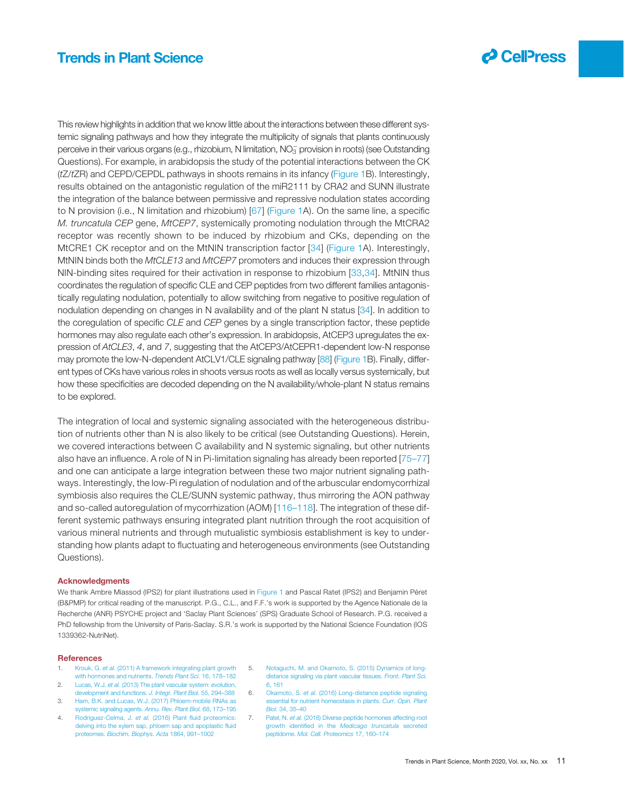

<span id="page-10-0"></span>This review highlights in addition that we know little about the interactions between these different systemic signaling pathways and how they integrate the multiplicity of signals that plants continuously perceive in their various organs (e.g., rhizobium, N limitation,  $NO_3^-$  provision in roots) (see Outstanding Questions). For example, in arabidopsis the study of the potential interactions between the CK (tZ/tZR) and CEPD/CEPDL pathways in shoots remains in its infancy [\(Figure 1B](#page-2-0)). Interestingly, results obtained on the antagonistic regulation of the miR2111 by CRA2 and SUNN illustrate the integration of the balance between permissive and repressive nodulation states according to N provision (i.e., N limitation and rhizobium) [\[67\]](#page-12-0) ([Figure 1](#page-2-0)A). On the same line, a specific M. truncatula CEP gene, MtCEP7, systemically promoting nodulation through the MtCRA2 receptor was recently shown to be induced by rhizobium and CKs, depending on the MtCRE1 CK receptor and on the MtNIN transcription factor [\[34\]](#page-11-0) ([Figure 1A](#page-2-0)). Interestingly, MtNIN binds both the MtCLE13 and MtCEP7 promoters and induces their expression through NIN-binding sites required for their activation in response to rhizobium [[33,34\]](#page-11-0). MtNIN thus coordinates the regulation of specific CLE and CEP peptides from two different families antagonistically regulating nodulation, potentially to allow switching from negative to positive regulation of nodulation depending on changes in N availability and of the plant N status [\[34](#page-11-0)]. In addition to the coregulation of specific CLE and CEP genes by a single transcription factor, these peptide hormones may also regulate each other's expression. In arabidopsis, AtCEP3 upregulates the expression of AtCLE3, 4, and 7, suggesting that the AtCEP3/AtCEPR1-dependent low-N response may promote the low-N-dependent AtCLV1/CLE signaling pathway [\[88\]](#page-12-0) [\(Figure 1](#page-2-0)B). Finally, different types of CKs have various roles in shoots versus roots as well as locally versus systemically, but how these specificities are decoded depending on the N availability/whole-plant N status remains to be explored.

The integration of local and systemic signaling associated with the heterogeneous distribution of nutrients other than N is also likely to be critical (see Outstanding Questions). Herein, we covered interactions between C availability and N systemic signaling, but other nutrients also have an influence. A role of N in Pi-limitation signaling has already been reported [[75](#page-12-0)–77] and one can anticipate a large integration between these two major nutrient signaling pathways. Interestingly, the low-Pi regulation of nodulation and of the arbuscular endomycorrhizal symbiosis also requires the CLE/SUNN systemic pathway, thus mirroring the AON pathway and so-called autoregulation of mycorrhization (AOM) [116–[118\]](#page-13-0). The integration of these different systemic pathways ensuring integrated plant nutrition through the root acquisition of various mineral nutrients and through mutualistic symbiosis establishment is key to understanding how plants adapt to fluctuating and heterogeneous environments (see Outstanding Questions).

#### Acknowledgments

We thank Ambre Miassod (IPS2) for plant illustrations used in [Figure 1](#page-2-0) and Pascal Ratet (IPS2) and Benjamin Péret (B&PMP) for critical reading of the manuscript. P.G., C.L., and F.F.'s work is supported by the Agence Nationale de la Recherche (ANR) PSYCHE project and 'Saclay Plant Sciences' (SPS) Graduate School of Research. P.G. received a PhD fellowship from the University of Paris-Saclay. S.R.'s work is supported by the National Science Foundation (IOS 1339362-NutriNet).

#### **References**

- 1. Krouk, G. et al. [\(2011\) A framework integrating plant growth](http://refhub.elsevier.com/S1360-1385(20)30354-X/rf0005) [with hormones and nutrients.](http://refhub.elsevier.com/S1360-1385(20)30354-X/rf0005) Trends Plant Sci. 16, 178-182
- 2. Lucas, W.J. et al. [\(2013\) The plant vascular system: evolution,](http://refhub.elsevier.com/S1360-1385(20)30354-X/rf0010) [development and functions.](http://refhub.elsevier.com/S1360-1385(20)30354-X/rf0010) J. Integr. Plant Biol. 55, 294–388
- 3. [Ham, B.K. and Lucas, W.J. \(2017\) Phloem-mobile RNAs as](http://refhub.elsevier.com/S1360-1385(20)30354-X/rf0015) [systemic signaling agents.](http://refhub.elsevier.com/S1360-1385(20)30354-X/rf0015) Annu. Rev. Plant Biol. 68, 173-195
- 4. [Rodriguez-Celma, J.](http://refhub.elsevier.com/S1360-1385(20)30354-X/rf0020) et al. (2016) Plant fluid proteomics: [delving into the xylem sap, phloem sap and apoplastic](http://refhub.elsevier.com/S1360-1385(20)30354-X/rf0020) fluid proteomes. [Biochim. Biophys. Acta](http://refhub.elsevier.com/S1360-1385(20)30354-X/rf0020) 1864, 991–1002
- 5. [Notaguchi, M. and Okamoto, S. \(2015\) Dynamics of long](http://refhub.elsevier.com/S1360-1385(20)30354-X/rf0025)[distance signaling via plant vascular tissues.](http://refhub.elsevier.com/S1360-1385(20)30354-X/rf0025) Front. Plant Sci. [6, 161](http://refhub.elsevier.com/S1360-1385(20)30354-X/rf0025)
- 6. Okamoto, S. et al. [\(2016\) Long-distance peptide signaling](http://refhub.elsevier.com/S1360-1385(20)30354-X/rf0030) [essential for nutrient homeostasis in plants.](http://refhub.elsevier.com/S1360-1385(20)30354-X/rf0030) Curr. Opin. Plant Biol. [34, 35](http://refhub.elsevier.com/S1360-1385(20)30354-X/rf0030)–40
- Patel, N. et al. [\(2018\) Diverse peptide hormones affecting root](http://refhub.elsevier.com/S1360-1385(20)30354-X/rf0035) growth identified in the [Medicago truncatula](http://refhub.elsevier.com/S1360-1385(20)30354-X/rf0035) secret peptidome. [Mol. Cell. Proteomics](http://refhub.elsevier.com/S1360-1385(20)30354-X/rf0035) 17, 160–174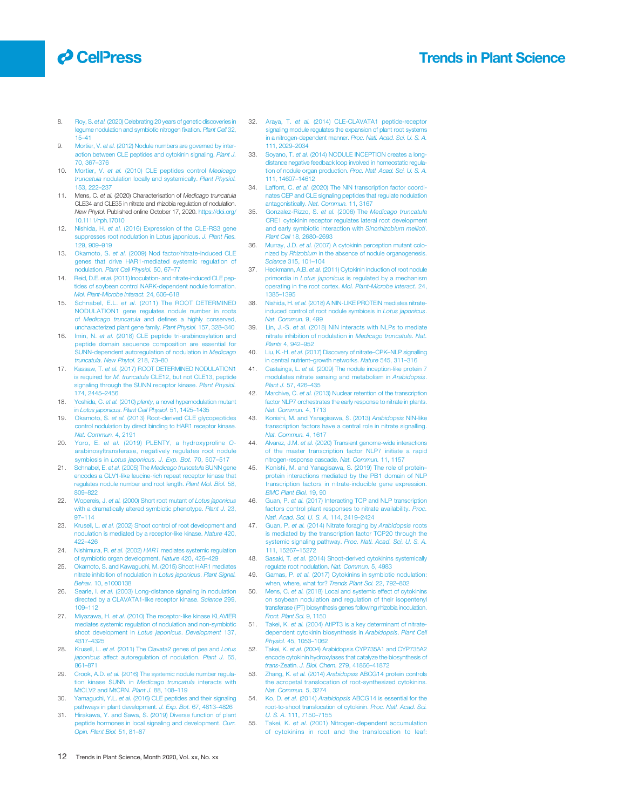## <span id="page-11-0"></span>**O** CellPress

### Trends in Plant Science

- 8. Roy, S. et al. [\(2020\) Celebrating 20 years of genetic discoveries in](http://refhub.elsevier.com/S1360-1385(20)30354-X/rf0040) [legume nodulation and symbiotic nitrogen](http://refhub.elsevier.com/S1360-1385(20)30354-X/rf0040) fixation. Plant Cell 32, [15](http://refhub.elsevier.com/S1360-1385(20)30354-X/rf0040)–41
- 9. Mortier, V. et al. [\(2012\) Nodule numbers are governed by inter](http://refhub.elsevier.com/S1360-1385(20)30354-X/rf0045)[action between CLE peptides and cytokinin signaling.](http://refhub.elsevier.com/S1360-1385(20)30354-X/rf0045) Plant J. [70, 367](http://refhub.elsevier.com/S1360-1385(20)30354-X/rf0045)–376
- 10. Mortier, V. et al. [\(2010\) CLE peptides control](http://refhub.elsevier.com/S1360-1385(20)30354-X/rf0050) Medicago truncatula [nodulation locally and systemically.](http://refhub.elsevier.com/S1360-1385(20)30354-X/rf0050) Plant Physiol. [153, 222](http://refhub.elsevier.com/S1360-1385(20)30354-X/rf0050)–237
- 11. Mens, C. et al. (2020) Characterisation of Medicago truncatula CLE34 and CLE35 in nitrate and rhizobia regulation of nodulation. New Phytol. Published online October 17, 2020. [https://doi.org/](https://doi.org/10.1111/nph.17010) [10.1111/nph.17010](https://doi.org/10.1111/nph.17010)
- 12. Nishida, H. et al. [\(2016\) Expression of the CLE-RS3 gene](http://refhub.elsevier.com/S1360-1385(20)30354-X/rf0060) [suppresses root nodulation in Lotus japonicus.](http://refhub.elsevier.com/S1360-1385(20)30354-X/rf0060) J. Plant Res. [129, 909](http://refhub.elsevier.com/S1360-1385(20)30354-X/rf0060)–919
- 13. Okamoto, S. et al. [\(2009\) Nod factor/nitrate-induced CLE](http://refhub.elsevier.com/S1360-1385(20)30354-X/rf0065) [genes that drive HAR1-mediated systemic regulation of](http://refhub.elsevier.com/S1360-1385(20)30354-X/rf0065) nodulation. [Plant Cell Physiol.](http://refhub.elsevier.com/S1360-1385(20)30354-X/rf0065) 50, 67-77
- 14. Reid, D.E. et al. [\(2011\) Inoculation- and nitrate-induced CLE pep](http://refhub.elsevier.com/S1360-1385(20)30354-X/rf0070)[tides of soybean control NARK-dependent nodule formation.](http://refhub.elsevier.com/S1360-1385(20)30354-X/rf0070) [Mol. Plant-Microbe Interact.](http://refhub.elsevier.com/S1360-1385(20)30354-X/rf0070) 24, 606–618
- 15. Schnabel, E.L. et al. [\(2011\) The ROOT DETERMINED](http://refhub.elsevier.com/S1360-1385(20)30354-X/rf0075) [NODULATION1 gene regulates nodule number in roots](http://refhub.elsevier.com/S1360-1385(20)30354-X/rf0075) of Medicago truncatula and defi[nes a highly conserved,](http://refhub.elsevier.com/S1360-1385(20)30354-X/rf0075) [uncharacterized plant gene family.](http://refhub.elsevier.com/S1360-1385(20)30354-X/rf0075) Plant Physiol. 157, 328–340
- 16. Imin, N. et al. [\(2018\) CLE peptide tri-arabinosylation and](http://refhub.elsevier.com/S1360-1385(20)30354-X/rf0080) [peptide domain sequence composition are essential for](http://refhub.elsevier.com/S1360-1385(20)30354-X/rf0080) [SUNN-dependent autoregulation of nodulation in](http://refhub.elsevier.com/S1360-1385(20)30354-X/rf0080) Medicago truncatula. [New Phytol.](http://refhub.elsevier.com/S1360-1385(20)30354-X/rf0080) 218, 73–80
- 17. Kassaw, T. et al. [\(2017\) ROOT DETERMINED NODULATION1](http://refhub.elsevier.com/S1360-1385(20)30354-X/rf0085) is required for M. truncatula [CLE12, but not CLE13, peptide](http://refhub.elsevier.com/S1360-1385(20)30354-X/rf0085) [signaling through the SUNN receptor kinase.](http://refhub.elsevier.com/S1360-1385(20)30354-X/rf0085) Plant Physiol. [174, 2445](http://refhub.elsevier.com/S1360-1385(20)30354-X/rf0085)–2456
- 18. Yoshida, C. et al. (2010) plenty[, a novel hypernodulation mutant](http://refhub.elsevier.com/S1360-1385(20)30354-X/rf0090) in Lotus japonicus. [Plant Cell Physiol.](http://refhub.elsevier.com/S1360-1385(20)30354-X/rf0090) 51, 1425–1435
- 19. Okamoto, S. et al. [\(2013\) Root-derived CLE glycopeptides](http://refhub.elsevier.com/S1360-1385(20)30354-X/rf0095) [control nodulation by direct binding to HAR1 receptor kinase.](http://refhub.elsevier.com/S1360-1385(20)30354-X/rf0095) [Nat. Commun.](http://refhub.elsevier.com/S1360-1385(20)30354-X/rf0095) 4, 2191
- 20. Yoro, E. et al. [\(2019\) PLENTY, a hydroxyproline](http://refhub.elsevier.com/S1360-1385(20)30354-X/rf0100) O[arabinosyltransferase, negatively regulates root nodule](http://refhub.elsevier.com/S1360-1385(20)30354-X/rf0100) symbiosis in [Lotus japonicus](http://refhub.elsevier.com/S1360-1385(20)30354-X/rf0100). J. Exp. Bot. 70, 507–517
- 21. Schnabel, E. et al. (2005) The [Medicago truncatula](http://refhub.elsevier.com/S1360-1385(20)30354-X/rf0105) SUNN gene [encodes a CLV1-like leucine-rich repeat receptor kinase that](http://refhub.elsevier.com/S1360-1385(20)30354-X/rf0105) regulates nodule number and root length, Plant Mol. Biol. 58, 809–[822](http://refhub.elsevier.com/S1360-1385(20)30354-X/rf0105)
- 22. Wopereis, J. et al. [\(2000\) Short root mutant of](http://refhub.elsevier.com/S1360-1385(20)30354-X/rf0110) Lotus japonicus [with a dramatically altered symbiotic phenotype.](http://refhub.elsevier.com/S1360-1385(20)30354-X/rf0110) Plant J. 23, 97–[114](http://refhub.elsevier.com/S1360-1385(20)30354-X/rf0110)
- 23. Krusell, L. et al. [\(2002\) Shoot control of root development and](http://refhub.elsevier.com/S1360-1385(20)30354-X/rf0115) [nodulation is mediated by a receptor-like kinase.](http://refhub.elsevier.com/S1360-1385(20)30354-X/rf0115) Nature 420, 422–[426](http://refhub.elsevier.com/S1360-1385(20)30354-X/rf0115)
- 24. Nishimura, R. et al. (2002) HAR1 [mediates systemic regulation](http://refhub.elsevier.com/S1360-1385(20)30354-X/rf0120) [of symbiotic organ development.](http://refhub.elsevier.com/S1360-1385(20)30354-X/rf0120) Nature 420, 426-429
- 25. [Okamoto, S. and Kawaguchi, M. \(2015\) Shoot HAR1 mediates](http://refhub.elsevier.com/S1360-1385(20)30354-X/rf0125) [nitrate inhibition of nodulation in](http://refhub.elsevier.com/S1360-1385(20)30354-X/rf0125) Lotus japonicus. Plant Signal. Behav. [10, e1000138](http://refhub.elsevier.com/S1360-1385(20)30354-X/rf0125)
- 26. Searle, I. et al. [\(2003\) Long-distance signaling in nodulation](http://refhub.elsevier.com/S1360-1385(20)30354-X/rf0130) [directed by a CLAVATA1-like receptor kinase.](http://refhub.elsevier.com/S1360-1385(20)30354-X/rf0130) Science 299, [109](http://refhub.elsevier.com/S1360-1385(20)30354-X/rf0130)–112
- 27. Miyazawa, H. et al. [\(2010\) The receptor-like kinase KLAVIER](http://refhub.elsevier.com/S1360-1385(20)30354-X/rf0135) [mediates systemic regulation of nodulation and non-symbiotic](http://refhub.elsevier.com/S1360-1385(20)30354-X/rf0135) [shoot development in](http://refhub.elsevier.com/S1360-1385(20)30354-X/rf0135) Lotus japonicus. Development 137, [4317](http://refhub.elsevier.com/S1360-1385(20)30354-X/rf0135)–4325
- 28. Krusell, L. et al. [\(2011\) The Clavata2 genes of pea and](http://refhub.elsevier.com/S1360-1385(20)30354-X/rf0140) Lotus japonicus [affect autoregulation of nodulation.](http://refhub.elsevier.com/S1360-1385(20)30354-X/rf0140) Plant J. 65, [861](http://refhub.elsevier.com/S1360-1385(20)30354-X/rf0140)–871
- 29. Crook, A.D. et al. [\(2016\) The systemic nodule number regula](http://refhub.elsevier.com/S1360-1385(20)30354-X/rf0145)[tion kinase SUNN in](http://refhub.elsevier.com/S1360-1385(20)30354-X/rf0145) Medicago truncatula interacts with [MtCLV2 and MtCRN.](http://refhub.elsevier.com/S1360-1385(20)30354-X/rf0145) Plant J. 88, 108-119
- 30. Yamaguchi, Y.L. et al. [\(2016\) CLE peptides and their signaling](http://refhub.elsevier.com/S1360-1385(20)30354-X/rf0150) [pathways in plant development.](http://refhub.elsevier.com/S1360-1385(20)30354-X/rf0150) J. Exp. Bot. 67, 4813-4826
- 31. [Hirakawa, Y. and Sawa, S. \(2019\) Diverse function of plant](http://refhub.elsevier.com/S1360-1385(20)30354-X/rf0155) eptide hormones in local signaling and development. Curr. [Opin. Plant Biol.](http://refhub.elsevier.com/S1360-1385(20)30354-X/rf0155) 51, 81–87
- 32. Araya, T. et al. [\(2014\) CLE-CLAVATA1 peptide-receptor](http://refhub.elsevier.com/S1360-1385(20)30354-X/rf0160) [signaling module regulates the expansion of plant root systems](http://refhub.elsevier.com/S1360-1385(20)30354-X/rf0160) [in a nitrogen-dependent manner.](http://refhub.elsevier.com/S1360-1385(20)30354-X/rf0160) Proc. Natl. Acad. Sci. U. S. A. [111, 2029](http://refhub.elsevier.com/S1360-1385(20)30354-X/rf0160)–2034
- 33. Soyano, T. et al. [\(2014\) NODULE INCEPTION creates a long](http://refhub.elsevier.com/S1360-1385(20)30354-X/rf0165)[distance negative feedback loop involved in homeostatic regula](http://refhub.elsevier.com/S1360-1385(20)30354-X/rf0165)[tion of nodule organ production.](http://refhub.elsevier.com/S1360-1385(20)30354-X/rf0165) Proc. Natl. Acad. Sci. U. S. A. [111, 14607](http://refhub.elsevier.com/S1360-1385(20)30354-X/rf0165)–14612
- 34. Laffont, C. et al. [\(2020\) The NIN transcription factor coordi](http://refhub.elsevier.com/S1360-1385(20)30354-X/rf0170)[nates CEP and CLE signaling peptides that regulate nodulation](http://refhub.elsevier.com/S1360-1385(20)30354-X/rf0170) [antagonistically.](http://refhub.elsevier.com/S1360-1385(20)30354-X/rf0170) Nat. Commun. 11, 3167
- 35. Gonzalez-Rizzo, S. et al. (2006) The [Medicago truncatula](http://refhub.elsevier.com/S1360-1385(20)30354-X/rf0175) [CRE1 cytokinin receptor regulates lateral root development](http://refhub.elsevier.com/S1360-1385(20)30354-X/rf0175) [and early symbiotic interaction with](http://refhub.elsevier.com/S1360-1385(20)30354-X/rf0175) Sinorhizobium meliloti. [Plant Cell](http://refhub.elsevier.com/S1360-1385(20)30354-X/rf0175) 18, 2680–2693
- 36. Murray, J.D. et al. [\(2007\) A cytokinin perception mutant colo](http://refhub.elsevier.com/S1360-1385(20)30354-X/rf0180)nized by Rhizobium [in the absence of nodule organogenesis.](http://refhub.elsevier.com/S1360-1385(20)30354-X/rf0180) Science [315, 101](http://refhub.elsevier.com/S1360-1385(20)30354-X/rf0180)–104
- Heckmann, A.B. et al. [\(2011\) Cytokinin induction of root nodule](http://refhub.elsevier.com/S1360-1385(20)30354-X/rf0185) primordia in Lotus japonicus [is regulated by a mechanism](http://refhub.elsevier.com/S1360-1385(20)30354-X/rf0185) [operating in the root cortex.](http://refhub.elsevier.com/S1360-1385(20)30354-X/rf0185) Mol. Plant-Microbe Interact. 24, [1385](http://refhub.elsevier.com/S1360-1385(20)30354-X/rf0185)–1395
- 38. Nishida, H. et al. [\(2018\) A NIN-LIKE PROTEIN mediates nitrate](http://refhub.elsevier.com/S1360-1385(20)30354-X/rf0190)[induced control of root nodule symbiosis in](http://refhub.elsevier.com/S1360-1385(20)30354-X/rf0190) Lotus japonicus. [Nat. Commun.](http://refhub.elsevier.com/S1360-1385(20)30354-X/rf0190) 9, 499
- 39. Lin, J.-S. et al. [\(2018\) NIN interacts with NLPs to mediate](http://refhub.elsevier.com/S1360-1385(20)30354-X/rf0195) [nitrate inhibition of nodulation in](http://refhub.elsevier.com/S1360-1385(20)30354-X/rf0195) Medicago truncatula. Nat. Plants [4, 942](http://refhub.elsevier.com/S1360-1385(20)30354-X/rf0195)–952
- 40. Liu, K.-H. et al. [\(2017\) Discovery of nitrate](http://refhub.elsevier.com/S1360-1385(20)30354-X/rf0200)–CPK–NLP signalling in central nutrient–[growth networks.](http://refhub.elsevier.com/S1360-1385(20)30354-X/rf0200) Nature 545, 311–316
- 41. Castaings, L. et al. [\(2009\) The nodule inception-like protein 7](http://refhub.elsevier.com/S1360-1385(20)30354-X/rf0205) [modulates nitrate sensing and metabolism in](http://refhub.elsevier.com/S1360-1385(20)30354-X/rf0205) Arabidopsis. Plant J. [57, 426](http://refhub.elsevier.com/S1360-1385(20)30354-X/rf0205)–435
- 42. Marchive, C. et al. [\(2013\) Nuclear retention of the transcription](http://refhub.elsevier.com/S1360-1385(20)30354-X/rf0210) [factor NLP7 orchestrates the early response to nitrate in plants.](http://refhub.elsevier.com/S1360-1385(20)30354-X/rf0210) [Nat. Commun.](http://refhub.elsevier.com/S1360-1385(20)30354-X/rf0210) 4, 1713
- 43. [Konishi, M. and Yanagisawa, S. \(2013\)](http://refhub.elsevier.com/S1360-1385(20)30354-X/rf0215) Arabidopsis NIN-like [transcription factors have a central role in nitrate signalling.](http://refhub.elsevier.com/S1360-1385(20)30354-X/rf0215) [Nat. Commun.](http://refhub.elsevier.com/S1360-1385(20)30354-X/rf0215) 4, 1617
- 44. Alvarez, J.M. et al. [\(2020\) Transient genome-wide interactions](http://refhub.elsevier.com/S1360-1385(20)30354-X/rf0220) [of the master transcription factor NLP7 initiate a rapid](http://refhub.elsevier.com/S1360-1385(20)30354-X/rf0220) [nitrogen-response cascade.](http://refhub.elsevier.com/S1360-1385(20)30354-X/rf0220) Nat. Commun. 11, 1157
- 45. [Konishi, M. and Yanagisawa, S. \(2019\) The role of protein](http://refhub.elsevier.com/S1360-1385(20)30354-X/rf0225) [protein interactions mediated by the PB1 domain of NLP](http://refhub.elsevier.com/S1360-1385(20)30354-X/rf0225) [transcription factors in nitrate-inducible gene expression.](http://refhub.elsevier.com/S1360-1385(20)30354-X/rf0225) [BMC Plant Biol.](http://refhub.elsevier.com/S1360-1385(20)30354-X/rf0225) 19, 90
- 46. Guan, P. et al. [\(2017\) Interacting TCP and NLP transcription](http://refhub.elsevier.com/S1360-1385(20)30354-X/rf0230) [factors control plant responses to nitrate availability.](http://refhub.elsevier.com/S1360-1385(20)30354-X/rf0230) Proc. [Natl. Acad. Sci. U. S. A.](http://refhub.elsevier.com/S1360-1385(20)30354-X/rf0230) 114, 2419–2424
- 47. Guan, P. et al. [\(2014\) Nitrate foraging by](http://refhub.elsevier.com/S1360-1385(20)30354-X/rf0235) Arabidopsis roots [is mediated by the transcription factor TCP20 through the](http://refhub.elsevier.com/S1360-1385(20)30354-X/rf0235) systemic signaling pathway. [Proc. Natl. Acad. Sci. U. S. A.](http://refhub.elsevier.com/S1360-1385(20)30354-X/rf0235) [111, 15267](http://refhub.elsevier.com/S1360-1385(20)30354-X/rf0235)–15272
- 48. Sasaki, T. et al. [\(2014\) Shoot-derived cytokinins systemically](http://refhub.elsevier.com/S1360-1385(20)30354-X/rf0240) [regulate root nodulation.](http://refhub.elsevier.com/S1360-1385(20)30354-X/rf0240) Nat. Commun. 5, 4983
- Gamas, P. et al. [\(2017\) Cytokinins in symbiotic nodulation:](http://refhub.elsevier.com/S1360-1385(20)30354-X/rf0245) [when, where, what for?](http://refhub.elsevier.com/S1360-1385(20)30354-X/rf0245) Trends Plant Sci. 22, 792–802
- 50. Mens, C. et al. [\(2018\) Local and systemic effect of cytokinins](http://refhub.elsevier.com/S1360-1385(20)30354-X/rf0250) [on soybean nodulation and regulation of their isopentenyl](http://refhub.elsevier.com/S1360-1385(20)30354-X/rf0250) [transferase \(IPT\) biosynthesis genes following rhizobia inoculation.](http://refhub.elsevier.com/S1360-1385(20)30354-X/rf0250) [Front. Plant Sci.](http://refhub.elsevier.com/S1360-1385(20)30354-X/rf0250) 9, 1150
- 51. Takei, K. et al. (2004) AtlPT3 is a key determinant of nitrate [dependent cytokinin biosynthesis in](http://refhub.elsevier.com/S1360-1385(20)30354-X/rf0255) Arabidopsis. Plant Cell Physiol. [45, 1053](http://refhub.elsevier.com/S1360-1385(20)30354-X/rf0255)–1062
- 52. Takei, K. et al. [\(2004\) Arabidopsis CYP735A1 and CYP735A2](http://refhub.elsevier.com/S1360-1385(20)30354-X/rf0260) [encode cytokinin hydroxylases that catalyze the biosynthesis of](http://refhub.elsevier.com/S1360-1385(20)30354-X/rf0260) trans-Zeatin. [J. Biol. Chem.](http://refhub.elsevier.com/S1360-1385(20)30354-X/rf0260) 279, 41866–41872
- 53. Zhang, K. et al. (2014) Arabidopsis [ABCG14 protein controls](http://refhub.elsevier.com/S1360-1385(20)30354-X/rf0265) [the acropetal translocation of root-synthesized cytokinins.](http://refhub.elsevier.com/S1360-1385(20)30354-X/rf0265) [Nat. Commun.](http://refhub.elsevier.com/S1360-1385(20)30354-X/rf0265) 5, 3274
- 54. Ko, D. et al. (2014) Arabidopsis [ABCG14 is essential for the](http://refhub.elsevier.com/S1360-1385(20)30354-X/rf0270) [root-to-shoot translocation of cytokinin.](http://refhub.elsevier.com/S1360-1385(20)30354-X/rf0270) Proc. Natl. Acad. Sci. U. S. A. [111, 7150](http://refhub.elsevier.com/S1360-1385(20)30354-X/rf0270)–7155
- 55. Takei, K. et al. [\(2001\) Nitrogen-dependent accumulation](http://refhub.elsevier.com/S1360-1385(20)30354-X/rf0275) [of cytokinins in root and the translocation to leaf:](http://refhub.elsevier.com/S1360-1385(20)30354-X/rf0275)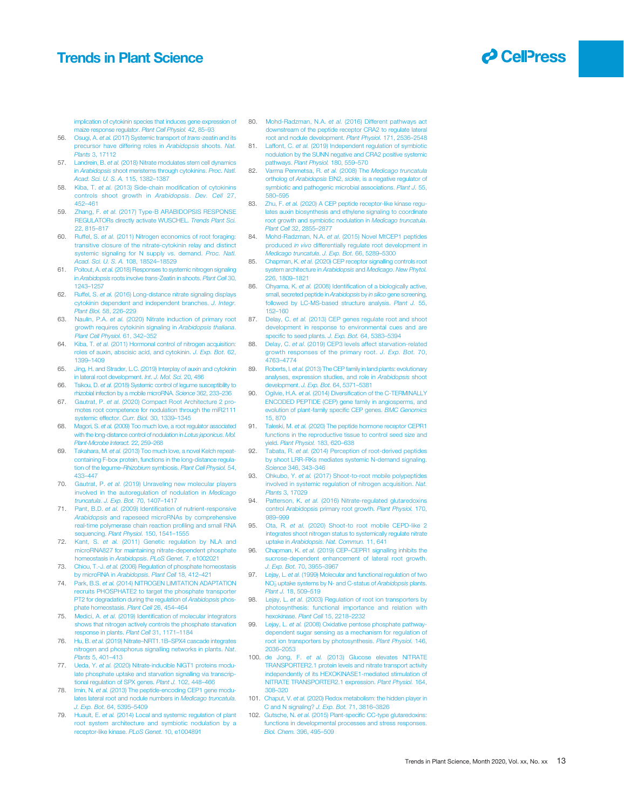

<span id="page-12-0"></span>[implication of cytokinin species that induces gene expression of](http://refhub.elsevier.com/S1360-1385(20)30354-X/rf0275) [maize response regulator.](http://refhub.elsevier.com/S1360-1385(20)30354-X/rf0275) Plant Cell Physiol. 42, 85–93

- 56. Osugi, A. et al. [\(2017\) Systemic transport of](http://refhub.elsevier.com/S1360-1385(20)30354-X/rf0280) trans-zeatin and its [precursor have differing roles in](http://refhub.elsevier.com/S1360-1385(20)30354-X/rf0280) Arabidopsis shoots. Nat. Plants [3, 17112](http://refhub.elsevier.com/S1360-1385(20)30354-X/rf0280)
- 57. Landrein, B. et al. [\(2018\) Nitrate modulates stem cell dynamics](http://refhub.elsevier.com/S1360-1385(20)30354-X/rf0285) in Arabidopsis [shoot meristems through cytokinins.](http://refhub.elsevier.com/S1360-1385(20)30354-X/rf0285) Proc. Natl. [Acad. Sci. U. S. A.](http://refhub.elsevier.com/S1360-1385(20)30354-X/rf0285) 115, 1382–1387
- 58. Kiba, T. et al. [\(2013\) Side-chain modi](http://refhub.elsevier.com/S1360-1385(20)30354-X/rf0290)fication of cytokinins [controls shoot growth in](http://refhub.elsevier.com/S1360-1385(20)30354-X/rf0290) Arabidopsis. Dev. Cell 27, [452](http://refhub.elsevier.com/S1360-1385(20)30354-X/rf0290)–461
- 59. Zhang, F. et al. [\(2017\) Type-B ARABIDOPSIS RESPONSE](http://refhub.elsevier.com/S1360-1385(20)30354-X/rf0295) [REGULATORs directly activate WUSCHEL.](http://refhub.elsevier.com/S1360-1385(20)30354-X/rf0295) Trends Plant Sci. [22, 815](http://refhub.elsevier.com/S1360-1385(20)30354-X/rf0295)–817
- 60. Ruffel, S. et al. [\(2011\) Nitrogen economics of root foraging:](http://refhub.elsevier.com/S1360-1385(20)30354-X/rf0300) [transitive closure of the nitrate-cytokinin relay and distinct](http://refhub.elsevier.com/S1360-1385(20)30354-X/rf0300) [systemic signaling for N supply vs. demand.](http://refhub.elsevier.com/S1360-1385(20)30354-X/rf0300) Proc. Natl. [Acad. Sci. U. S. A.](http://refhub.elsevier.com/S1360-1385(20)30354-X/rf0300) 108, 18524–18529
- 61. Poitout, A. et al. [\(2018\) Responses to systemic nitrogen signaling](http://refhub.elsevier.com/S1360-1385(20)30354-X/rf0305) in Arabidopsis roots involve trans[-Zeatin in shoots.](http://refhub.elsevier.com/S1360-1385(20)30354-X/rf0305) Plant Cell 30, [1243](http://refhub.elsevier.com/S1360-1385(20)30354-X/rf0305)–1257
- 62. Ruffel, S. et al. [\(2016\) Long-distance nitrate signaling displays](http://refhub.elsevier.com/S1360-1385(20)30354-X/rf0310) [cytokinin dependent and independent branches.](http://refhub.elsevier.com/S1360-1385(20)30354-X/rf0310) J. Integr. [Plant Biol.](http://refhub.elsevier.com/S1360-1385(20)30354-X/rf0310) 58, 226–229
- 63. Naulin, P.A. et al. [\(2020\) Nitrate induction of primary root](http://refhub.elsevier.com/S1360-1385(20)30354-X/rf0315) [growth requires cytokinin signaling in](http://refhub.elsevier.com/S1360-1385(20)30354-X/rf0315) Arabidopsis thaliana. [Plant Cell Physiol.](http://refhub.elsevier.com/S1360-1385(20)30354-X/rf0315) 61, 342–352
- 64. Kiba, T. et al. [\(2011\) Hormonal control of nitrogen acquisition:](http://refhub.elsevier.com/S1360-1385(20)30354-X/rf0320) [roles of auxin, abscisic acid, and cytokinin.](http://refhub.elsevier.com/S1360-1385(20)30354-X/rf0320) J. Exp. Bot. 62, [1399](http://refhub.elsevier.com/S1360-1385(20)30354-X/rf0320)–1409
- 65. [Jing, H. and Strader, L.C. \(2019\) Interplay of auxin and cytokinin](http://refhub.elsevier.com/S1360-1385(20)30354-X/rf0325) [in lateral root development.](http://refhub.elsevier.com/S1360-1385(20)30354-X/rf0325) Int. J. Mol. Sci. 20, 486
- 66. Tsikou, D. et al. [\(2018\) Systemic control of legume susceptibility to](http://refhub.elsevier.com/S1360-1385(20)30354-X/rf0330) [rhizobial infection by a mobile microRNA.](http://refhub.elsevier.com/S1360-1385(20)30354-X/rf0330) Science 362, 233–236
- 67. Gautrat, P. et al. [\(2020\) Compact Root Architecture 2 pro](http://refhub.elsevier.com/S1360-1385(20)30354-X/rf0335)[motes root competence for nodulation through the miR2111](http://refhub.elsevier.com/S1360-1385(20)30354-X/rf0335) [systemic effector.](http://refhub.elsevier.com/S1360-1385(20)30354-X/rf0335) Curr. Biol. 30, 1339-1345
- 68. Magori, S. et al. [\(2009\) Too much love, a root regulator associated](http://refhub.elsevier.com/S1360-1385(20)30354-X/rf0340) [with the long-distance control of nodulation in](http://refhub.elsevier.com/S1360-1385(20)30354-X/rf0340) Lotus japonicus. Mol. [Plant-Microbe Interact.](http://refhub.elsevier.com/S1360-1385(20)30354-X/rf0340) 22, 259–268
- 69. Takahara, M. et al. [\(2013\) Too much love, a novel Kelch repeat](http://refhub.elsevier.com/S1360-1385(20)30354-X/rf0345)[containing F-box protein, functions in the long-distance regula](http://refhub.elsevier.com/S1360-1385(20)30354-X/rf0345)[tion of the legume](http://refhub.elsevier.com/S1360-1385(20)30354-X/rf0345)–Rhizobium symbiosis. Plant Cell Physiol. 54, 433–[447](http://refhub.elsevier.com/S1360-1385(20)30354-X/rf0345)
- 70. Gautrat, P. et al. [\(2019\) Unraveling new molecular players](http://refhub.elsevier.com/S1360-1385(20)30354-X/rf0350) [involved in the autoregulation of nodulation in](http://refhub.elsevier.com/S1360-1385(20)30354-X/rf0350) Medicago truncatula. [J. Exp. Bot.](http://refhub.elsevier.com/S1360-1385(20)30354-X/rf0350) 70, 1407–1417
- 71. Pant, B.D. et al. (2009) Identifi[cation of nutrient-responsive](http://refhub.elsevier.com/S1360-1385(20)30354-X/rf0355) Arabidopsis [and rapeseed microRNAs by comprehensive](http://refhub.elsevier.com/S1360-1385(20)30354-X/rf0355) [real-time polymerase chain reaction pro](http://refhub.elsevier.com/S1360-1385(20)30354-X/rf0355)filing and small RNA sequencing. [Plant Physiol.](http://refhub.elsevier.com/S1360-1385(20)30354-X/rf0355) 150, 1541-1555
- 72. Kant, S. et al. [\(2011\) Genetic regulation by NLA and](http://refhub.elsevier.com/S1360-1385(20)30354-X/rf0360) [microRNA827 for maintaining nitrate-dependent phosphate](http://refhub.elsevier.com/S1360-1385(20)30354-X/rf0360) [homeostasis in](http://refhub.elsevier.com/S1360-1385(20)30354-X/rf0360) Arabidopsis. PLoS Genet. 7, e1002021
- 73. Chiou, T.-J. et al. [\(2006\) Regulation of phosphate homeostasis](http://refhub.elsevier.com/S1360-1385(20)30354-X/rf0365) [by microRNA in](http://refhub.elsevier.com/S1360-1385(20)30354-X/rf0365) Arabidopsis. Plant Cell 18, 412–421
- 74. Park, B.S. et al. [\(2014\) NITROGEN LIMITATION ADAPTATION](http://refhub.elsevier.com/S1360-1385(20)30354-X/rf0370) [recruits PHOSPHATE2 to target the phosphate transporter](http://refhub.elsevier.com/S1360-1385(20)30354-X/rf0370) [PT2 for degradation during the regulation of](http://refhub.elsevier.com/S1360-1385(20)30354-X/rf0370) Arabidopsis phos[phate homeostasis.](http://refhub.elsevier.com/S1360-1385(20)30354-X/rf0370) Plant Cell 26, 454–464
- 75. Medici, A. et al. (2019) Identifi[cation of molecular integrators](http://refhub.elsevier.com/S1360-1385(20)30354-X/rf0375) [shows that nitrogen actively controls the phosphate starvation](http://refhub.elsevier.com/S1360-1385(20)30354-X/rf0375) [response in plants.](http://refhub.elsevier.com/S1360-1385(20)30354-X/rf0375) Plant Cell 31, 1171–1184
- 76. Hu, B. et al. (2019) Nitrate–NRT1.1B–[SPX4 cascade integrates](http://refhub.elsevier.com/S1360-1385(20)30354-X/rf0380) [nitrogen and phosphorus signalling networks in plants.](http://refhub.elsevier.com/S1360-1385(20)30354-X/rf0380) Nat. Plants [5, 401](http://refhub.elsevier.com/S1360-1385(20)30354-X/rf0380)–413
- 77. Ueda, Y. et al. [\(2020\) Nitrate-inducible NIGT1 proteins modu](http://refhub.elsevier.com/S1360-1385(20)30354-X/rf0385)[late phosphate uptake and starvation signalling via transcrip](http://refhub.elsevier.com/S1360-1385(20)30354-X/rf0385)[tional regulation of SPX genes.](http://refhub.elsevier.com/S1360-1385(20)30354-X/rf0385) Plant J. 102, 448–466
- 78. Imin, N. et al. [\(2013\) The peptide-encoding CEP1 gene modu](http://refhub.elsevier.com/S1360-1385(20)30354-X/rf0390)[lates lateral root and nodule numbers in](http://refhub.elsevier.com/S1360-1385(20)30354-X/rf0390) Medicago truncatula. [J. Exp. Bot.](http://refhub.elsevier.com/S1360-1385(20)30354-X/rf0390) 64, 5395–5409
- 79. Huault, E. et al. [\(2014\) Local and systemic regulation of plant](http://refhub.elsevier.com/S1360-1385(20)30354-X/rf0395) [root system architecture and symbiotic nodulation by a](http://refhub.elsevier.com/S1360-1385(20)30354-X/rf0395) [receptor-like kinase.](http://refhub.elsevier.com/S1360-1385(20)30354-X/rf0395) PLoS Genet. 10, e1004891
- 80. Mohd-Radzman, N.A. et al. [\(2016\) Different pathways act](http://refhub.elsevier.com/S1360-1385(20)30354-X/rf0400) [downstream of the peptide receptor CRA2 to regulate lateral](http://refhub.elsevier.com/S1360-1385(20)30354-X/rf0400) [root and nodule development.](http://refhub.elsevier.com/S1360-1385(20)30354-X/rf0400) Plant Physiol. 171, 2536–2548
- 81. Laffont, C. et al. [\(2019\) Independent regulation of symbiotic](http://refhub.elsevier.com/S1360-1385(20)30354-X/rf0405) [nodulation by the SUNN negative and CRA2 positive systemic](http://refhub.elsevier.com/S1360-1385(20)30354-X/rf0405) pathways. [Plant Physiol.](http://refhub.elsevier.com/S1360-1385(20)30354-X/rf0405) 180, 559–570
- 82. [Varma Penmetsa, R.](http://refhub.elsevier.com/S1360-1385(20)30354-X/rf0410) et al. (2008) The Medicago truncatula ortholog of Arabidopsis EIN2, sickle[, is a negative regulator of](http://refhub.elsevier.com/S1360-1385(20)30354-X/rf0410) [symbiotic and pathogenic microbial associations.](http://refhub.elsevier.com/S1360-1385(20)30354-X/rf0410) Plant J. 55, [580](http://refhub.elsevier.com/S1360-1385(20)30354-X/rf0410)–595
- 83. Zhu, F. et al. [\(2020\) A CEP peptide receptor-like kinase regu](http://refhub.elsevier.com/S1360-1385(20)30354-X/rf0415)[lates auxin biosynthesis and ethylene signaling to coordinate](http://refhub.elsevier.com/S1360-1385(20)30354-X/rf0415) [root growth and symbiotic nodulation in](http://refhub.elsevier.com/S1360-1385(20)30354-X/rf0415) Medicago truncatula. [Plant Cell](http://refhub.elsevier.com/S1360-1385(20)30354-X/rf0415) 32, 2855–2877
- 84. Mohd-Radzman, N.A. et al. [\(2015\) Novel MtCEP1 peptides](http://refhub.elsevier.com/S1360-1385(20)30354-X/rf0420) produced in vivo [differentially regulate root development in](http://refhub.elsevier.com/S1360-1385(20)30354-X/rf0420) [Medicago truncatula](http://refhub.elsevier.com/S1360-1385(20)30354-X/rf0420). J. Exp. Bot. 66, 5289–5300
- 85. Chapman, K. et al. [\(2020\) CEP receptor signalling controls root](http://refhub.elsevier.com/S1360-1385(20)30354-X/rf0425) [system architecture in](http://refhub.elsevier.com/S1360-1385(20)30354-X/rf0425) Arabidopsis and Medicago. New Phytol. [226, 1809](http://refhub.elsevier.com/S1360-1385(20)30354-X/rf0425)–1821
- 86. Ohyama, K. et al. (2008) Identifi[cation of a biologically active,](http://refhub.elsevier.com/S1360-1385(20)30354-X/rf0430) [small, secreted peptide in](http://refhub.elsevier.com/S1360-1385(20)30354-X/rf0430) Arabidopsis by in silico gene screening, [followed by LC-MS-based structure analysis.](http://refhub.elsevier.com/S1360-1385(20)30354-X/rf0430) Plant J. 55, 152–[160](http://refhub.elsevier.com/S1360-1385(20)30354-X/rf0430)
- 87. Delay, C. et al. [\(2013\) CEP genes regulate root and shoot](http://refhub.elsevier.com/S1360-1385(20)30354-X/rf0435) [development in response to environmental cues and are](http://refhub.elsevier.com/S1360-1385(20)30354-X/rf0435) specifi[c to seed plants.](http://refhub.elsevier.com/S1360-1385(20)30354-X/rf0435) J. Exp. Bot. 64, 5383–5394
- 88. Delay, C. et al. [\(2019\) CEP3 levels affect starvation-related](http://refhub.elsevier.com/S1360-1385(20)30354-X/rf0440) [growth responses of the primary root.](http://refhub.elsevier.com/S1360-1385(20)30354-X/rf0440) J. Exp. Bot. 70, 4763–[4774](http://refhub.elsevier.com/S1360-1385(20)30354-X/rf0440)
- 89. Roberts. I. et al. [\(2013\) The CEP family in land plants: evolutionary](http://refhub.elsevier.com/S1360-1385(20)30354-X/rf0445) [analyses, expression studies, and role in](http://refhub.elsevier.com/S1360-1385(20)30354-X/rf0445) Arabidopsis shoot [development.](http://refhub.elsevier.com/S1360-1385(20)30354-X/rf0445) J. Exp. Bot. 64, 5371–5381
- 90. Ogilvie, H.A. et al. (2014) Diversifi[cation of the C-TERMINALLY](http://refhub.elsevier.com/S1360-1385(20)30354-X/rf0450) [ENCODED PEPTIDE \(CEP\) gene family in angiosperms, and](http://refhub.elsevier.com/S1360-1385(20)30354-X/rf0450) [evolution of plant-family speci](http://refhub.elsevier.com/S1360-1385(20)30354-X/rf0450)fic CEP genes. BMC Genomics [15, 870](http://refhub.elsevier.com/S1360-1385(20)30354-X/rf0450)
- 91. Taleski, M. et al. [\(2020\) The peptide hormone receptor CEPR1](http://refhub.elsevier.com/S1360-1385(20)30354-X/rf0455) [functions in the reproductive tissue to control seed size and](http://refhub.elsevier.com/S1360-1385(20)30354-X/rf0455) ield. [Plant Physiol.](http://refhub.elsevier.com/S1360-1385(20)30354-X/rf0455) 183, 620–638
- 92. Tabata, R. et al. [\(2014\) Perception of root-derived peptides](http://refhub.elsevier.com/S1360-1385(20)30354-X/rf0460) [by shoot LRR-RKs mediates systemic N-demand signaling.](http://refhub.elsevier.com/S1360-1385(20)30354-X/rf0460) Science [346, 343](http://refhub.elsevier.com/S1360-1385(20)30354-X/rf0460)–346
- 93. Ohkubo, Y. et al. [\(2017\) Shoot-to-root mobile polypeptides](http://refhub.elsevier.com/S1360-1385(20)30354-X/rf0465) [involved in systemic regulation of nitrogen acquisition.](http://refhub.elsevier.com/S1360-1385(20)30354-X/rf0465) Nat. Plants [3, 17029](http://refhub.elsevier.com/S1360-1385(20)30354-X/rf0465)
- 94. Patterson, K. et al. [\(2016\) Nitrate-regulated glutaredoxins](http://refhub.elsevier.com/S1360-1385(20)30354-X/rf0470) [control Arabidopsis primary root growth.](http://refhub.elsevier.com/S1360-1385(20)30354-X/rf0470) Plant Physiol. 170, 989–[999](http://refhub.elsevier.com/S1360-1385(20)30354-X/rf0470)
- 95. Ota, R. et al. [\(2020\) Shoot-to root mobile CEPD-like 2](http://refhub.elsevier.com/S1360-1385(20)30354-X/rf0475) [integrates shoot nitrogen status to systemically regulate nitrate](http://refhub.elsevier.com/S1360-1385(20)30354-X/rf0475) uptake in Arabidopsis. [Nat. Commun.](http://refhub.elsevier.com/S1360-1385(20)30354-X/rf0475) 11, 641
- 96. Chapman, K. et al. (2019) CEP–[CEPR1 signalling inhibits the](http://refhub.elsevier.com/S1360-1385(20)30354-X/rf0480) [sucrose-dependent enhancement of lateral root growth.](http://refhub.elsevier.com/S1360-1385(20)30354-X/rf0480) [J. Exp. Bot.](http://refhub.elsevier.com/S1360-1385(20)30354-X/rf0480) 70, 3955–3967
- Lejay, L. et al. [\(1999\) Molecular and functional regulation of two](http://refhub.elsevier.com/S1360-1385(20)30354-X/rf0485) NO<sub>3</sub> [uptake systems by N- and C-status of](http://refhub.elsevier.com/S1360-1385(20)30354-X/rf0485) Arabidopsis plants. Plant J. [18, 509](http://refhub.elsevier.com/S1360-1385(20)30354-X/rf0485)–519
- 98. Lejay, L. et al. [\(2003\) Regulation of root ion transporters by](http://refhub.elsevier.com/S1360-1385(20)30354-X/rf0490) [photosynthesis: functional importance and relation with](http://refhub.elsevier.com/S1360-1385(20)30354-X/rf0490) [hexokinase.](http://refhub.elsevier.com/S1360-1385(20)30354-X/rf0490) Plant Cell 15, 2218–2232
- 99. Lejay, L. et al. (2008) Oxidative pentose phosphate pathway [dependent sugar sensing as a mechanism for regulation of](http://refhub.elsevier.com/S1360-1385(20)30354-X/rf0495) [root ion transporters by photosynthesis.](http://refhub.elsevier.com/S1360-1385(20)30354-X/rf0495) Plant Physiol. 146, 2036–[2053](http://refhub.elsevier.com/S1360-1385(20)30354-X/rf0495)
- 100. de Jong, F. et al. [\(2013\) Glucose elevates NITRATE](http://refhub.elsevier.com/S1360-1385(20)30354-X/rf0500) [TRANSPORTER2.1 protein levels and nitrate transport activity](http://refhub.elsevier.com/S1360-1385(20)30354-X/rf0500) [independently of its HEXOKINASE1-mediated stimulation of](http://refhub.elsevier.com/S1360-1385(20)30354-X/rf0500) [NITRATE TRANSPORTER2.1 expression.](http://refhub.elsevier.com/S1360-1385(20)30354-X/rf0500) Plant Physiol. 164, [308](http://refhub.elsevier.com/S1360-1385(20)30354-X/rf0500)–320
- 101. Chaput, V. et al. [\(2020\) Redox metabolism: the hidden player in](http://refhub.elsevier.com/S1360-1385(20)30354-X/rf0505) [C and N signaling?](http://refhub.elsevier.com/S1360-1385(20)30354-X/rf0505) J. Exp. Bot. 71, 3816–3826
- 102. Gutsche, N. et al. (2015) Plant-specifi[c CC-type glutaredoxins:](http://refhub.elsevier.com/S1360-1385(20)30354-X/rf0510) [functions in developmental processes and stress responses.](http://refhub.elsevier.com/S1360-1385(20)30354-X/rf0510) [Biol. Chem.](http://refhub.elsevier.com/S1360-1385(20)30354-X/rf0510) 396, 495–509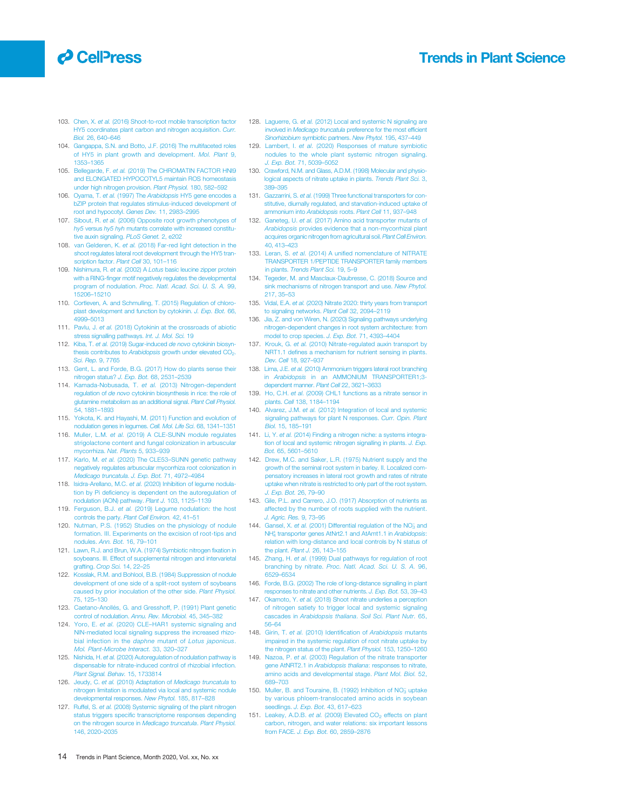## <span id="page-13-0"></span>**O** CellPress

Trends in Plant Science

- 103. Chen, X. et al. [\(2016\) Shoot-to-root mobile transcription factor](http://refhub.elsevier.com/S1360-1385(20)30354-X/rf0515) [HY5 coordinates plant carbon and nitrogen acquisition.](http://refhub.elsevier.com/S1360-1385(20)30354-X/rf0515) Curr. Biol. [26, 640](http://refhub.elsevier.com/S1360-1385(20)30354-X/rf0515)–646
- 104. [Gangappa, S.N. and Botto, J.F. \(2016\) The multifaceted roles](http://refhub.elsevier.com/S1360-1385(20)30354-X/rf0520) [of HY5 in plant growth and development.](http://refhub.elsevier.com/S1360-1385(20)30354-X/rf0520) Mol. Plant 9, [1353](http://refhub.elsevier.com/S1360-1385(20)30354-X/rf0520)–1365
- 105. Bellegarde, F. et al. [\(2019\) The CHROMATIN FACTOR HNI9](http://refhub.elsevier.com/S1360-1385(20)30354-X/rf0525) [and ELONGATED HYPOCOTYL5 maintain ROS homeostasis](http://refhub.elsevier.com/S1360-1385(20)30354-X/rf0525) [under high nitrogen provision.](http://refhub.elsevier.com/S1360-1385(20)30354-X/rf0525) Plant Physiol. 180, 582–592
- 106. Oyama, T. et al. (1997) The Arabidopsis [HY5 gene encodes a](http://refhub.elsevier.com/S1360-1385(20)30354-X/rf0530) [bZIP protein that regulates stimulus-induced development of](http://refhub.elsevier.com/S1360-1385(20)30354-X/rf0530) [root and hypocotyl.](http://refhub.elsevier.com/S1360-1385(20)30354-X/rf0530) Genes Dev. 11, 2983–2995
- 107. Sibout, R. et al. [\(2006\) Opposite root growth phenotypes of](http://refhub.elsevier.com/S1360-1385(20)30354-X/rf0535) hy5 versus hy5 hyh [mutants correlate with increased constitu](http://refhub.elsevier.com/S1360-1385(20)30354-X/rf0535)[tive auxin signaling.](http://refhub.elsevier.com/S1360-1385(20)30354-X/rf0535) PLoS Genet. 2, e202
- 108. van Gelderen, K. et al. [\(2018\) Far-red light detection in the](http://refhub.elsevier.com/S1360-1385(20)30354-X/rf0540) [shoot regulates lateral root development through the HY5 tran](http://refhub.elsevier.com/S1360-1385(20)30354-X/rf0540)[scription factor.](http://refhub.elsevier.com/S1360-1385(20)30354-X/rf0540) Plant Cell 30, 101-116
- 109. Nishimura, R. et al. (2002) A Lotus [basic leucine zipper protein](http://refhub.elsevier.com/S1360-1385(20)30354-X/rf0545) with a RING-finger motif negatively regulates the developme program of nodulation. [Proc. Natl. Acad. Sci. U. S. A.](http://refhub.elsevier.com/S1360-1385(20)30354-X/rf0545) 99, [15206](http://refhub.elsevier.com/S1360-1385(20)30354-X/rf0545)–15210
- 110. [Cortleven, A. and Schmulling, T. \(2015\) Regulation of chloro](http://refhub.elsevier.com/S1360-1385(20)30354-X/rf0550)[plast development and function by cytokinin.](http://refhub.elsevier.com/S1360-1385(20)30354-X/rf0550) J. Exp. Bot. 66, [4999](http://refhub.elsevier.com/S1360-1385(20)30354-X/rf0550)–5013
- 111. Pavlu, J. et al. [\(2018\) Cytokinin at the crossroads of abiotic](http://refhub.elsevier.com/S1360-1385(20)30354-X/rf0555) [stress signalling pathways.](http://refhub.elsevier.com/S1360-1385(20)30354-X/rf0555) Int. J. Mol. Sci. 19
- 112. Kiba, T. et al. [\(2019\) Sugar-induced](http://refhub.elsevier.com/S1360-1385(20)30354-X/rf0560) de novo cytokinin biosynthesis contributes to Arabidopsis growth under elevated CO<sub>2</sub>. [Sci. Rep.](http://refhub.elsevier.com/S1360-1385(20)30354-X/rf0560) 9, 7765
- 113. [Gent, L. and Forde, B.G. \(2017\) How do plants sense their](http://refhub.elsevier.com/S1360-1385(20)30354-X/rf0565) [nitrogen status?](http://refhub.elsevier.com/S1360-1385(20)30354-X/rf0565) J. Exp. Bot. 68, 2531–2539
- 114. Kamada-Nobusada, T. et al. [\(2013\) Nitrogen-dependent](http://refhub.elsevier.com/S1360-1385(20)30354-X/rf0570) regulation of de novo [cytokinin biosynthesis in rice: the role of](http://refhub.elsevier.com/S1360-1385(20)30354-X/rf0570) [glutamine metabolism as an additional signal.](http://refhub.elsevier.com/S1360-1385(20)30354-X/rf0570) Plant Cell Physiol. [54, 1881](http://refhub.elsevier.com/S1360-1385(20)30354-X/rf0570)–1893
- 115. [Yokota, K. and Hayashi, M. \(2011\) Function and evolution of](http://refhub.elsevier.com/S1360-1385(20)30354-X/rf0575) [nodulation genes in legumes.](http://refhub.elsevier.com/S1360-1385(20)30354-X/rf0575) Cell. Mol. Life Sci. 68, 1341-1351
- 116. Muller, L.M. et al. [\(2019\) A CLE-SUNN module regulates](http://refhub.elsevier.com/S1360-1385(20)30354-X/rf0580) [strigolactone content and fungal colonization in arbuscular](http://refhub.elsevier.com/S1360-1385(20)30354-X/rf0580) [mycorrhiza.](http://refhub.elsevier.com/S1360-1385(20)30354-X/rf0580) Nat. Plants 5, 933–939
- 117. Karlo, M. et al. (2020) The CLE53–[SUNN genetic pathway](http://refhub.elsevier.com/S1360-1385(20)30354-X/rf0585) [negatively regulates arbuscular mycorrhiza root colonization in](http://refhub.elsevier.com/S1360-1385(20)30354-X/rf0585) [Medicago truncatula](http://refhub.elsevier.com/S1360-1385(20)30354-X/rf0585). J. Exp. Bot. 71, 4972–4984
- 118. Isidra-Arellano, M.C. et al. [\(2020\) Inhibition of legume nodula](http://refhub.elsevier.com/S1360-1385(20)30354-X/rf0590)tion by Pi defi[ciency is dependent on the autoregulation of](http://refhub.elsevier.com/S1360-1385(20)30354-X/rf0590) [nodulation \(AON\) pathway.](http://refhub.elsevier.com/S1360-1385(20)30354-X/rf0590) Plant J. 103, 1125–1139
- 119. Ferguson, B.J. et al. [\(2019\) Legume nodulation: the host](http://refhub.elsevier.com/S1360-1385(20)30354-X/rf0595) [controls the party.](http://refhub.elsevier.com/S1360-1385(20)30354-X/rf0595) Plant Cell Environ. 42, 41-51
- 120. [Nutman, P.S. \(1952\) Studies on the physiology of nodule](http://refhub.elsevier.com/S1360-1385(20)30354-X/rf0600) [formation. III. Experiments on the excision of root-tips and](http://refhub.elsevier.com/S1360-1385(20)30354-X/rf0600) nodules. [Ann. Bot.](http://refhub.elsevier.com/S1360-1385(20)30354-X/rf0600) 16, 79–101
- 121. [Lawn, R.J. and Brun, W.A. \(1974\) Symbiotic nitrogen](http://refhub.elsevier.com/S1360-1385(20)30354-X/rf0605) fixation in [soybeans. III. Effect of supplemental nitrogen and intervarietal](http://refhub.elsevier.com/S1360-1385(20)30354-X/rf0605) grafting. [Crop Sci.](http://refhub.elsevier.com/S1360-1385(20)30354-X/rf0605) 14, 22-25
- 122. [Kosslak, R.M. and Bohlool, B.B. \(1984\) Suppression of nodule](http://refhub.elsevier.com/S1360-1385(20)30354-X/rf0610) [development of one side of a split-root system of soybeans](http://refhub.elsevier.com/S1360-1385(20)30354-X/rf0610) [caused by prior inoculation of the other side.](http://refhub.elsevier.com/S1360-1385(20)30354-X/rf0610) Plant Physiol. [75, 125](http://refhub.elsevier.com/S1360-1385(20)30354-X/rf0610)–130
- 123. [Caetano-Anollés, G. and Gresshoff, P. \(1991\) Plant genetic](http://refhub.elsevier.com/S1360-1385(20)30354-X/rf0615) control of nodulation. [Annu. Rev. Microbiol.](http://refhub.elsevier.com/S1360-1385(20)30354-X/rf0615) 45, 345–382
- 124. Yoro, E. et al. (2020) CLE–[HAR1 systemic signaling and](http://refhub.elsevier.com/S1360-1385(20)30354-X/rf0620) [NIN-mediated local signaling suppress the increased rhizo](http://refhub.elsevier.com/S1360-1385(20)30354-X/rf0620)[bial infection in the](http://refhub.elsevier.com/S1360-1385(20)30354-X/rf0620) daphne mutant of Lotus japonicus. [Mol. Plant-Microbe Interact.](http://refhub.elsevier.com/S1360-1385(20)30354-X/rf0620) 33, 320–327
- 125. Nishida, H. et al. [\(2020\) Autoregulation of nodulation pathway is](http://refhub.elsevier.com/S1360-1385(20)30354-X/rf0625) [dispensable for nitrate-induced control of rhizobial infection.](http://refhub.elsevier.com/S1360-1385(20)30354-X/rf0625) [Plant Signal. Behav.](http://refhub.elsevier.com/S1360-1385(20)30354-X/rf0625) 15, 1733814
- 126. Jeudy, C. et al. (2010) Adaptation of [Medicago truncatula](http://refhub.elsevier.com/S1360-1385(20)30354-X/rf0630) to [nitrogen limitation is modulated via local and systemic nodule](http://refhub.elsevier.com/S1360-1385(20)30354-X/rf0630) [developmental responses.](http://refhub.elsevier.com/S1360-1385(20)30354-X/rf0630) New Phytol. 185, 817-828
- 127. Ruffel, S. et al. [\(2008\) Systemic signaling of the plant nitrogen](http://refhub.elsevier.com/S1360-1385(20)30354-X/rf0635) status triggers specifi[c transcriptome responses depending](http://refhub.elsevier.com/S1360-1385(20)30354-X/rf0635) [on the nitrogen source in](http://refhub.elsevier.com/S1360-1385(20)30354-X/rf0635) Medicago truncatula. Plant Physiol. [146, 2020](http://refhub.elsevier.com/S1360-1385(20)30354-X/rf0635)–2035
- 128. Laquerre, G. et al. [\(2012\) Local and systemic N signaling are](http://refhub.elsevier.com/S1360-1385(20)30354-X/rf0640) involved in Medicago truncatula [preference for the most ef](http://refhub.elsevier.com/S1360-1385(20)30354-X/rf0640)ficient Sinorhizobium [symbiotic partners.](http://refhub.elsevier.com/S1360-1385(20)30354-X/rf0640) New Phytol. 195, 437–449
- 129. Lambert, I. et al. [\(2020\) Responses of mature symbiotic](http://refhub.elsevier.com/S1360-1385(20)30354-X/rf0645) [nodules to the whole plant systemic nitrogen signaling.](http://refhub.elsevier.com/S1360-1385(20)30354-X/rf0645) [J. Exp. Bot.](http://refhub.elsevier.com/S1360-1385(20)30354-X/rf0645) 71, 5039–5052
- 130. [Crawford, N.M. and Glass, A.D.M. \(1998\) Molecular and physio](http://refhub.elsevier.com/S1360-1385(20)30354-X/rf0650)[logical aspects of nitrate uptake in plants.](http://refhub.elsevier.com/S1360-1385(20)30354-X/rf0650) Trends Plant Sci. 3, 389–[395](http://refhub.elsevier.com/S1360-1385(20)30354-X/rf0650)
- 131. Gazzarrini, S. et al. [\(1999\) Three functional transporters for con](http://refhub.elsevier.com/S1360-1385(20)30354-X/rf0655)[stitutive, diurnally regulated, and starvation-induced uptake of](http://refhub.elsevier.com/S1360-1385(20)30354-X/rf0655) [ammonium into](http://refhub.elsevier.com/S1360-1385(20)30354-X/rf0655) Arabidopsis roots. Plant Cell 11, 937–948
- 132. Ganeteg, U. et al. [\(2017\) Amino acid transporter mutants of](http://refhub.elsevier.com/S1360-1385(20)30354-X/rf0660) Arabidopsis [provides evidence that a non-mycorrhizal plant](http://refhub.elsevier.com/S1360-1385(20)30354-X/rf0660) [acquires organic nitrogen from agricultural soil.](http://refhub.elsevier.com/S1360-1385(20)30354-X/rf0660) Plant Cell Environ. [40, 413](http://refhub.elsevier.com/S1360-1385(20)30354-X/rf0660)–423
- 133. Leran, S. et al. (2014) A unifi[ed nomenclature of NITRATE](http://refhub.elsevier.com/S1360-1385(20)30354-X/rf0665) [TRANSPORTER 1/PEPTIDE TRANSPORTER family members](http://refhub.elsevier.com/S1360-1385(20)30354-X/rf0665) in plants. [Trends Plant Sci.](http://refhub.elsevier.com/S1360-1385(20)30354-X/rf0665) 19, 5–9
- 134. [Tegeder, M. and Masclaux-Daubresse, C. \(2018\) Source and](http://refhub.elsevier.com/S1360-1385(20)30354-X/rf0670) [sink mechanisms of nitrogen transport and use.](http://refhub.elsevier.com/S1360-1385(20)30354-X/rf0670) New Phytol. [217, 35](http://refhub.elsevier.com/S1360-1385(20)30354-X/rf0670)–53
- 135. Vidal, E.A. et al. [\(2020\) Nitrate 2020: thirty years from transport](http://refhub.elsevier.com/S1360-1385(20)30354-X/rf0675) [to signaling networks.](http://refhub.elsevier.com/S1360-1385(20)30354-X/rf0675) Plant Cell 32, 2094–2119
- 136. [Jia, Z. and von Wiren, N. \(2020\) Signaling pathways underlying](http://refhub.elsevier.com/S1360-1385(20)30354-X/rf0680) [nitrogen-dependent changes in root system architecture: from](http://refhub.elsevier.com/S1360-1385(20)30354-X/rf0680) [model to crop species.](http://refhub.elsevier.com/S1360-1385(20)30354-X/rf0680) J. Exp. Bot. 71, 4393–4404
- 137. Krouk, G. et al. [\(2010\) Nitrate-regulated auxin transport by](http://refhub.elsevier.com/S1360-1385(20)30354-X/rf0685) NRT1.1 defi[nes a mechanism for nutrient sensing in plants.](http://refhub.elsevier.com/S1360-1385(20)30354-X/rf0685) [Dev. Cell](http://refhub.elsevier.com/S1360-1385(20)30354-X/rf0685) 18, 927–937
- 138. Lima, J.E. et al. [\(2010\) Ammonium triggers lateral root branching](http://refhub.elsevier.com/S1360-1385(20)30354-X/rf0690) in Arabidopsis [in an AMMONIUM TRANSPORTER1;3](http://refhub.elsevier.com/S1360-1385(20)30354-X/rf0690) [dependent manner.](http://refhub.elsevier.com/S1360-1385(20)30354-X/rf0690) Plant Cell 22, 3621–3633
- 139. Ho, C.H. et al. [\(2009\) CHL1 functions as a nitrate sensor in](http://refhub.elsevier.com/S1360-1385(20)30354-X/rf0695) plants. Cell [138, 1184](http://refhub.elsevier.com/S1360-1385(20)30354-X/rf0695)–1194
- 140. Alvarez, J.M. et al. [\(2012\) Integration of local and systemic](http://refhub.elsevier.com/S1360-1385(20)30354-X/rf0700) [signaling pathways for plant N responses.](http://refhub.elsevier.com/S1360-1385(20)30354-X/rf0700) Curr. Opin. Plant Biol. [15, 185](http://refhub.elsevier.com/S1360-1385(20)30354-X/rf0700)–191
- 141. Li, Y. et al. [\(2014\) Finding a nitrogen niche: a systems integra](http://refhub.elsevier.com/S1360-1385(20)30354-X/rf0705)[tion of local and systemic nitrogen signalling in plants.](http://refhub.elsevier.com/S1360-1385(20)30354-X/rf0705) J. Exp. Bot. [65, 5601](http://refhub.elsevier.com/S1360-1385(20)30354-X/rf0705)–5610
- 142. [Drew, M.C. and Saker, L.R. \(1975\) Nutrient supply and the](http://refhub.elsevier.com/S1360-1385(20)30354-X/rf0710) [growth of the seminal root system in barley. II. Localized com](http://refhub.elsevier.com/S1360-1385(20)30354-X/rf0710)[pensatory increases in lateral root growth and rates of nitrate](http://refhub.elsevier.com/S1360-1385(20)30354-X/rf0710) [uptake when nitrate is restricted to only part of the root system.](http://refhub.elsevier.com/S1360-1385(20)30354-X/rf0710) [J. Exp. Bot.](http://refhub.elsevier.com/S1360-1385(20)30354-X/rf0710) 26, 79–90
- 143. [Gile, P.L. and Carrero, J.O. \(1917\) Absorption of nutrients as](http://refhub.elsevier.com/S1360-1385(20)30354-X/rf0715) [affected by the number of roots supplied with the nutrient.](http://refhub.elsevier.com/S1360-1385(20)30354-X/rf0715) [J. Agric. Res.](http://refhub.elsevier.com/S1360-1385(20)30354-X/rf0715) 9, 73–95
- 144. Gansel, X. et al. (2001) Differential regulation of the  $NO<sub>3</sub><sup>-</sup>$  [and](http://refhub.elsevier.com/S1360-1385(20)30354-X/rf0720) NH<sup>+</sup><sub>4</sub> [transporter genes AtNrt2.1 and AtAmt1.1 in](http://refhub.elsevier.com/S1360-1385(20)30354-X/rf0720) Arabidopsis: [relation with long-distance and local controls by N status of](http://refhub.elsevier.com/S1360-1385(20)30354-X/rf0720) [the plant.](http://refhub.elsevier.com/S1360-1385(20)30354-X/rf0720) Plant J. 26, 143–155
- 145. Zhang, H. et al. [\(1999\) Dual pathways for regulation of root](http://refhub.elsevier.com/S1360-1385(20)30354-X/rf0725) branching by nitrate. [Proc. Natl. Acad. Sci. U. S. A.](http://refhub.elsevier.com/S1360-1385(20)30354-X/rf0725) 96, [6529](http://refhub.elsevier.com/S1360-1385(20)30354-X/rf0725)–6534
- 146. [Forde, B.G. \(2002\) The role of long-distance signalling in plant](http://refhub.elsevier.com/S1360-1385(20)30354-X/rf0730) [responses to nitrate and other nutrients.](http://refhub.elsevier.com/S1360-1385(20)30354-X/rf0730) J. Exp. Bot. 53, 39–43
- 147. Okamoto, Y. et al. [\(2018\) Shoot nitrate underlies a perception](http://refhub.elsevier.com/S1360-1385(20)30354-X/rf0735) [of nitrogen satiety to trigger local and systemic signaling](http://refhub.elsevier.com/S1360-1385(20)30354-X/rf0735) cascades in [Arabidopsis thaliana](http://refhub.elsevier.com/S1360-1385(20)30354-X/rf0735). Soil Sci. Plant Nutr. 65, 56–[64](http://refhub.elsevier.com/S1360-1385(20)30354-X/rf0735)
- 148. Girin, T. et al. [\(2010\) Identi](http://refhub.elsevier.com/S1360-1385(20)30354-X/rf0740)fication of Arabidopsis mutants [impaired in the systemic regulation of root nitrate uptake by](http://refhub.elsevier.com/S1360-1385(20)30354-X/rf0740) [the nitrogen status of the plant.](http://refhub.elsevier.com/S1360-1385(20)30354-X/rf0740) Plant Physiol. 153, 1250–1260
- 149. Nazoa, P. et al. [\(2003\) Regulation of the nitrate transporter](http://refhub.elsevier.com/S1360-1385(20)30354-X/rf0745) gene AtNRT2.1 in Arabidopsis thaliana: responses to nitrate. [amino acids and developmental stage.](http://refhub.elsevier.com/S1360-1385(20)30354-X/rf0745) Plant Mol. Biol. 52, [689](http://refhub.elsevier.com/S1360-1385(20)30354-X/rf0745)–703
- 150. Muller, B. and Touraine, B. (1992) Inhibition of NO<sub>3</sub> [uptake](http://refhub.elsevier.com/S1360-1385(20)30354-X/rf0750) [by various phloem-translocated amino acids in soybean](http://refhub.elsevier.com/S1360-1385(20)30354-X/rf0750) seedlings. [J. Exp. Bot.](http://refhub.elsevier.com/S1360-1385(20)30354-X/rf0750) 43, 617–623
- 151. Leakey, A.D.B. et al. (2009) Elevated  $CO<sub>2</sub>$  [effects on plant](http://refhub.elsevier.com/S1360-1385(20)30354-X/rf0755) carbon, nitrogen, and water relations: six important le from FACE. [J. Exp. Bot.](http://refhub.elsevier.com/S1360-1385(20)30354-X/rf0755) 60, 2859–2876